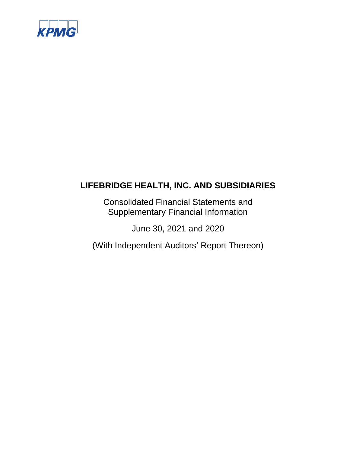

Consolidated Financial Statements and Supplementary Financial Information

June 30, 2021 and 2020

(With Independent Auditors' Report Thereon)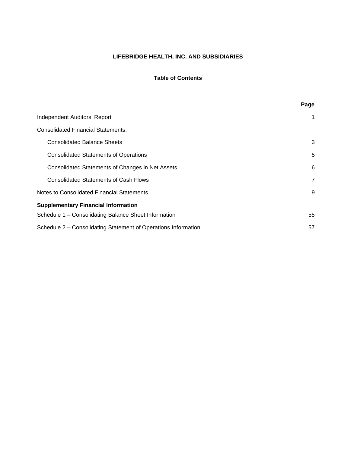# **Table of Contents**

|                                                                | Page           |
|----------------------------------------------------------------|----------------|
| Independent Auditors' Report                                   | 1              |
| <b>Consolidated Financial Statements:</b>                      |                |
| <b>Consolidated Balance Sheets</b>                             | 3              |
| <b>Consolidated Statements of Operations</b>                   | 5              |
| Consolidated Statements of Changes in Net Assets               | 6              |
| <b>Consolidated Statements of Cash Flows</b>                   | $\overline{7}$ |
| Notes to Consolidated Financial Statements                     | 9              |
| <b>Supplementary Financial Information</b>                     |                |
| Schedule 1 - Consolidating Balance Sheet Information           | 55             |
| Schedule 2 - Consolidating Statement of Operations Information | 57             |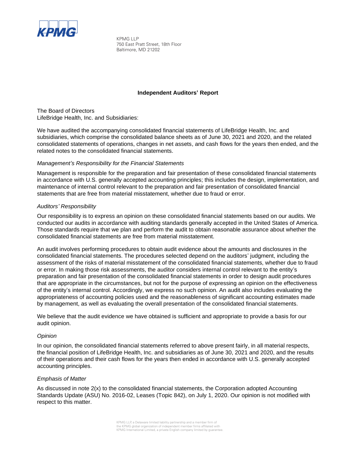

KPMG LLP 750 East Pratt Street, 18th Floor Baltimore, MD 21202

# **Independent Auditors' Report**

The Board of Directors LifeBridge Health, Inc. and Subsidiaries:

We have audited the accompanying consolidated financial statements of LifeBridge Health, Inc. and subsidiaries, which comprise the consolidated balance sheets as of June 30, 2021 and 2020, and the related consolidated statements of operations, changes in net assets, and cash flows for the years then ended, and the related notes to the consolidated financial statements.

# *Management's Responsibility for the Financial Statements*

Management is responsible for the preparation and fair presentation of these consolidated financial statements in accordance with U.S. generally accepted accounting principles; this includes the design, implementation, and maintenance of internal control relevant to the preparation and fair presentation of consolidated financial statements that are free from material misstatement, whether due to fraud or error.

# *Auditors' Responsibility*

Our responsibility is to express an opinion on these consolidated financial statements based on our audits. We conducted our audits in accordance with auditing standards generally accepted in the United States of America. Those standards require that we plan and perform the audit to obtain reasonable assurance about whether the consolidated financial statements are free from material misstatement.

An audit involves performing procedures to obtain audit evidence about the amounts and disclosures in the consolidated financial statements. The procedures selected depend on the auditors' judgment, including the assessment of the risks of material misstatement of the consolidated financial statements, whether due to fraud or error. In making those risk assessments, the auditor considers internal control relevant to the entity's preparation and fair presentation of the consolidated financial statements in order to design audit procedures that are appropriate in the circumstances, but not for the purpose of expressing an opinion on the effectiveness of the entity's internal control. Accordingly, we express no such opinion. An audit also includes evaluating the appropriateness of accounting policies used and the reasonableness of significant accounting estimates made by management, as well as evaluating the overall presentation of the consolidated financial statements.

We believe that the audit evidence we have obtained is sufficient and appropriate to provide a basis for our audit opinion.

# *Opinion*

In our opinion, the consolidated financial statements referred to above present fairly, in all material respects, the financial position of LifeBridge Health, Inc. and subsidiaries as of June 30, 2021 and 2020, and the results of their operations and their cash flows for the years then ended in accordance with U.S. generally accepted accounting principles.

# *Emphasis of Matter*

As discussed in note 2(x) to the consolidated financial statements, the Corporation adopted Accounting Standards Update (ASU) No. 2016-02, Leases (Topic 842), on July 1, 2020. Our opinion is not modified with respect to this matter.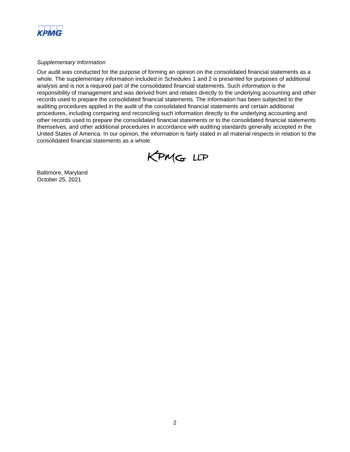

# *Supplementary Information*

Our audit was conducted for the purpose of forming an opinion on the consolidated financial statements as a whole. The supplementary information included in Schedules 1 and 2 is presented for purposes of additional analysis and is not a required part of the consolidated financial statements. Such information is the responsibility of management and was derived from and relates directly to the underlying accounting and other records used to prepare the consolidated financial statements. The information has been subjected to the auditing procedures applied in the audit of the consolidated financial statements and certain additional procedures, including comparing and reconciling such information directly to the underlying accounting and other records used to prepare the consolidated financial statements or to the consolidated financial statements themselves, and other additional procedures in accordance with auditing standards generally accepted in the United States of America. In our opinion, the information is fairly stated in all material respects in relation to the consolidated financial statements as a whole.



Baltimore, Maryland October 25, 2021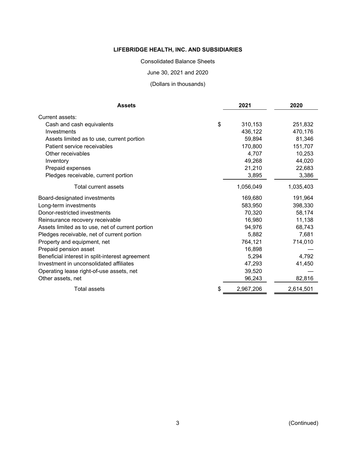Consolidated Balance Sheets

June 30, 2021 and 2020

(Dollars in thousands)

| <b>Assets</b>                                    | 2021      | 2020      |
|--------------------------------------------------|-----------|-----------|
| Current assets:                                  |           |           |
| \$<br>Cash and cash equivalents                  | 310,153   | 251,832   |
| Investments                                      | 436,122   | 470,176   |
| Assets limited as to use, current portion        | 59,894    | 81,346    |
| Patient service receivables                      | 170,800   | 151,707   |
| Other receivables                                | 4,707     | 10,253    |
| Inventory                                        | 49,268    | 44,020    |
| Prepaid expenses                                 | 21,210    | 22,683    |
| Pledges receivable, current portion              | 3,895     | 3,386     |
| Total current assets                             | 1,056,049 | 1,035,403 |
| Board-designated investments                     | 169,680   | 191,964   |
| Long-term investments                            | 583,950   | 398,330   |
| Donor-restricted investments                     | 70,320    | 58,174    |
| Reinsurance recovery receivable                  | 16,980    | 11,138    |
| Assets limited as to use, net of current portion | 94,976    | 68,743    |
| Pledges receivable, net of current portion       | 5,882     | 7,681     |
| Property and equipment, net                      | 764,121   | 714,010   |
| Prepaid pension asset                            | 16,898    |           |
| Beneficial interest in split-interest agreement  | 5,294     | 4,792     |
| Investment in unconsolidated affiliates          | 47,293    | 41,450    |
| Operating lease right-of-use assets, net         | 39,520    |           |
| Other assets, net                                | 96,243    | 82,816    |
| \$<br>Total assets                               | 2,967,206 | 2,614,501 |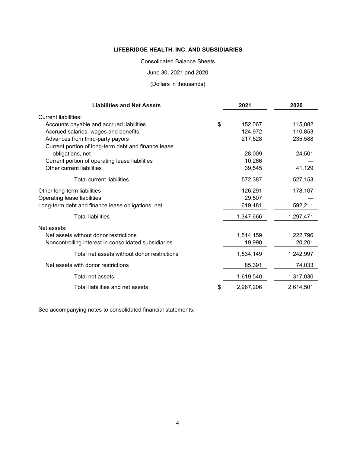Consolidated Balance Sheets

June 30, 2021 and 2020

(Dollars in thousands)

| <b>Liabilities and Net Assets</b>                    | 2021            | 2020      |
|------------------------------------------------------|-----------------|-----------|
| Current liabilities:                                 |                 |           |
| Accounts payable and accrued liabilities             | \$<br>152,067   | 115,082   |
| Accrued salaries, wages and benefits                 | 124,972         | 110,853   |
| Advances from third-party payors                     | 217,528         | 235,588   |
| Current portion of long-term debt and finance lease  |                 |           |
| obligations, net                                     | 28,009          | 24,501    |
| Current portion of operating lease liabilities       | 10,266          |           |
| Other current liabilities                            | 39,545          | 41,129    |
| <b>Total current liabilities</b>                     | 572,387         | 527,153   |
| Other long-term liabilities                          | 126,291         | 178,107   |
| Operating lease liabilities                          | 29,507          |           |
| Long-term debt and finance lease obligations, net    | 619,481         | 592,211   |
| <b>Total liabilities</b>                             | 1,347,666       | 1,297,471 |
| Net assets:                                          |                 |           |
| Net assets without donor restrictions                | 1,514,159       | 1,222,796 |
| Noncontrolling interest in consolidated subsidiaries | 19,990          | 20,201    |
| Total net assets without donor restrictions          | 1,534,149       | 1,242,997 |
| Net assets with donor restrictions                   | 85,391          | 74,033    |
| Total net assets                                     | 1,619,540       | 1,317,030 |
| Total liabilities and net assets                     | \$<br>2,967,206 | 2,614,501 |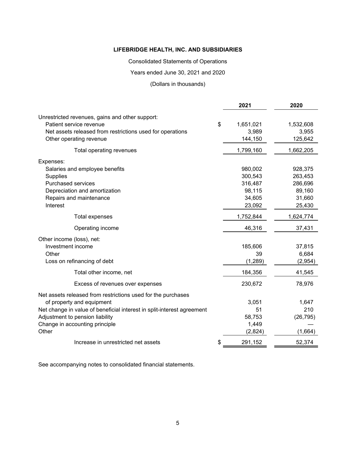Consolidated Statements of Operations

Years ended June 30, 2021 and 2020

# (Dollars in thousands)

| Unrestricted revenues, gains and other support:<br>\$<br>Patient service revenue<br>1,651,021<br>1,532,608<br>Net assets released from restrictions used for operations<br>3,989<br>3,955<br>Other operating revenue<br>144,150<br>125,642<br>Total operating revenues<br>1,799,160<br>1,662,205<br>Expenses:<br>980,002<br>Salaries and employee benefits<br>928,375<br>300,543<br>263,453<br><b>Supplies</b><br><b>Purchased services</b><br>316,487<br>286,696<br>Depreciation and amortization<br>98,115<br>89,160<br>34,605<br>Repairs and maintenance<br>31,660<br>Interest<br>23,092<br>25,430<br>1,752,844<br>1,624,774<br>Total expenses<br>46,316<br>37,431<br>Operating income<br>Other income (loss), net:<br>Investment income<br>185,606<br>37,815<br>Other<br>39<br>6,684<br>Loss on refinancing of debt<br>(1, 289)<br>(2,954)<br>184,356<br>Total other income, net<br>41,545<br>230,672<br>78,976<br>Excess of revenues over expenses<br>Net assets released from restrictions used for the purchases<br>of property and equipment<br>3,051<br>1,647<br>210<br>Net change in value of beneficial interest in split-interest agreement<br>51<br>Adjustment to pension liability<br>58,753<br>(26, 795)<br>Change in accounting principle<br>1,449<br>Other<br>(2,824)<br>(1,664)<br>\$<br>52,374<br>Increase in unrestricted net assets<br>291,152 |  | 2021 | 2020 |
|---------------------------------------------------------------------------------------------------------------------------------------------------------------------------------------------------------------------------------------------------------------------------------------------------------------------------------------------------------------------------------------------------------------------------------------------------------------------------------------------------------------------------------------------------------------------------------------------------------------------------------------------------------------------------------------------------------------------------------------------------------------------------------------------------------------------------------------------------------------------------------------------------------------------------------------------------------------------------------------------------------------------------------------------------------------------------------------------------------------------------------------------------------------------------------------------------------------------------------------------------------------------------------------------------------------------------------------------------------------------|--|------|------|
|                                                                                                                                                                                                                                                                                                                                                                                                                                                                                                                                                                                                                                                                                                                                                                                                                                                                                                                                                                                                                                                                                                                                                                                                                                                                                                                                                                     |  |      |      |
|                                                                                                                                                                                                                                                                                                                                                                                                                                                                                                                                                                                                                                                                                                                                                                                                                                                                                                                                                                                                                                                                                                                                                                                                                                                                                                                                                                     |  |      |      |
|                                                                                                                                                                                                                                                                                                                                                                                                                                                                                                                                                                                                                                                                                                                                                                                                                                                                                                                                                                                                                                                                                                                                                                                                                                                                                                                                                                     |  |      |      |
|                                                                                                                                                                                                                                                                                                                                                                                                                                                                                                                                                                                                                                                                                                                                                                                                                                                                                                                                                                                                                                                                                                                                                                                                                                                                                                                                                                     |  |      |      |
|                                                                                                                                                                                                                                                                                                                                                                                                                                                                                                                                                                                                                                                                                                                                                                                                                                                                                                                                                                                                                                                                                                                                                                                                                                                                                                                                                                     |  |      |      |
|                                                                                                                                                                                                                                                                                                                                                                                                                                                                                                                                                                                                                                                                                                                                                                                                                                                                                                                                                                                                                                                                                                                                                                                                                                                                                                                                                                     |  |      |      |
|                                                                                                                                                                                                                                                                                                                                                                                                                                                                                                                                                                                                                                                                                                                                                                                                                                                                                                                                                                                                                                                                                                                                                                                                                                                                                                                                                                     |  |      |      |
|                                                                                                                                                                                                                                                                                                                                                                                                                                                                                                                                                                                                                                                                                                                                                                                                                                                                                                                                                                                                                                                                                                                                                                                                                                                                                                                                                                     |  |      |      |
|                                                                                                                                                                                                                                                                                                                                                                                                                                                                                                                                                                                                                                                                                                                                                                                                                                                                                                                                                                                                                                                                                                                                                                                                                                                                                                                                                                     |  |      |      |
|                                                                                                                                                                                                                                                                                                                                                                                                                                                                                                                                                                                                                                                                                                                                                                                                                                                                                                                                                                                                                                                                                                                                                                                                                                                                                                                                                                     |  |      |      |
|                                                                                                                                                                                                                                                                                                                                                                                                                                                                                                                                                                                                                                                                                                                                                                                                                                                                                                                                                                                                                                                                                                                                                                                                                                                                                                                                                                     |  |      |      |
|                                                                                                                                                                                                                                                                                                                                                                                                                                                                                                                                                                                                                                                                                                                                                                                                                                                                                                                                                                                                                                                                                                                                                                                                                                                                                                                                                                     |  |      |      |
|                                                                                                                                                                                                                                                                                                                                                                                                                                                                                                                                                                                                                                                                                                                                                                                                                                                                                                                                                                                                                                                                                                                                                                                                                                                                                                                                                                     |  |      |      |
|                                                                                                                                                                                                                                                                                                                                                                                                                                                                                                                                                                                                                                                                                                                                                                                                                                                                                                                                                                                                                                                                                                                                                                                                                                                                                                                                                                     |  |      |      |
|                                                                                                                                                                                                                                                                                                                                                                                                                                                                                                                                                                                                                                                                                                                                                                                                                                                                                                                                                                                                                                                                                                                                                                                                                                                                                                                                                                     |  |      |      |
|                                                                                                                                                                                                                                                                                                                                                                                                                                                                                                                                                                                                                                                                                                                                                                                                                                                                                                                                                                                                                                                                                                                                                                                                                                                                                                                                                                     |  |      |      |
|                                                                                                                                                                                                                                                                                                                                                                                                                                                                                                                                                                                                                                                                                                                                                                                                                                                                                                                                                                                                                                                                                                                                                                                                                                                                                                                                                                     |  |      |      |
|                                                                                                                                                                                                                                                                                                                                                                                                                                                                                                                                                                                                                                                                                                                                                                                                                                                                                                                                                                                                                                                                                                                                                                                                                                                                                                                                                                     |  |      |      |
|                                                                                                                                                                                                                                                                                                                                                                                                                                                                                                                                                                                                                                                                                                                                                                                                                                                                                                                                                                                                                                                                                                                                                                                                                                                                                                                                                                     |  |      |      |
|                                                                                                                                                                                                                                                                                                                                                                                                                                                                                                                                                                                                                                                                                                                                                                                                                                                                                                                                                                                                                                                                                                                                                                                                                                                                                                                                                                     |  |      |      |
|                                                                                                                                                                                                                                                                                                                                                                                                                                                                                                                                                                                                                                                                                                                                                                                                                                                                                                                                                                                                                                                                                                                                                                                                                                                                                                                                                                     |  |      |      |
|                                                                                                                                                                                                                                                                                                                                                                                                                                                                                                                                                                                                                                                                                                                                                                                                                                                                                                                                                                                                                                                                                                                                                                                                                                                                                                                                                                     |  |      |      |
|                                                                                                                                                                                                                                                                                                                                                                                                                                                                                                                                                                                                                                                                                                                                                                                                                                                                                                                                                                                                                                                                                                                                                                                                                                                                                                                                                                     |  |      |      |
|                                                                                                                                                                                                                                                                                                                                                                                                                                                                                                                                                                                                                                                                                                                                                                                                                                                                                                                                                                                                                                                                                                                                                                                                                                                                                                                                                                     |  |      |      |
|                                                                                                                                                                                                                                                                                                                                                                                                                                                                                                                                                                                                                                                                                                                                                                                                                                                                                                                                                                                                                                                                                                                                                                                                                                                                                                                                                                     |  |      |      |
|                                                                                                                                                                                                                                                                                                                                                                                                                                                                                                                                                                                                                                                                                                                                                                                                                                                                                                                                                                                                                                                                                                                                                                                                                                                                                                                                                                     |  |      |      |
|                                                                                                                                                                                                                                                                                                                                                                                                                                                                                                                                                                                                                                                                                                                                                                                                                                                                                                                                                                                                                                                                                                                                                                                                                                                                                                                                                                     |  |      |      |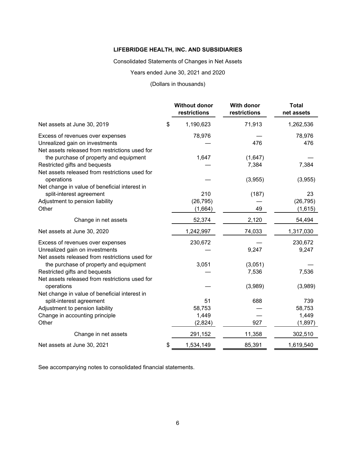Consolidated Statements of Changes in Net Assets

Years ended June 30, 2021 and 2020

(Dollars in thousands)

|                                                                                                                           | <b>Without donor</b><br>restrictions | <b>With donor</b><br>restrictions | <b>Total</b><br>net assets  |
|---------------------------------------------------------------------------------------------------------------------------|--------------------------------------|-----------------------------------|-----------------------------|
| Net assets at June 30, 2019                                                                                               | \$<br>1,190,623                      | 71,913                            | 1,262,536                   |
| Excess of revenues over expenses<br>Unrealized gain on investments<br>Net assets released from restrictions used for      | 78,976                               | 476                               | 78,976<br>476               |
| the purchase of property and equipment<br>Restricted gifts and bequests<br>Net assets released from restrictions used for | 1,647                                | (1,647)<br>7,384                  | 7,384                       |
| operations<br>Net change in value of beneficial interest in                                                               |                                      | (3,955)                           | (3,955)                     |
| split-interest agreement<br>Adjustment to pension liability<br>Other                                                      | 210<br>(26, 795)<br>(1,664)          | (187)<br>49                       | 23<br>(26, 795)<br>(1,615)  |
| Change in net assets                                                                                                      | 52,374                               | 2,120                             | 54,494                      |
| Net assets at June 30, 2020                                                                                               | 1,242,997                            | 74,033                            | 1,317,030                   |
| Excess of revenues over expenses<br>Unrealized gain on investments<br>Net assets released from restrictions used for      | 230,672                              | 9,247                             | 230,672<br>9,247            |
| the purchase of property and equipment<br>Restricted gifts and bequests<br>Net assets released from restrictions used for | 3,051                                | (3,051)<br>7,536                  | 7,536                       |
| operations<br>Net change in value of beneficial interest in<br>split-interest agreement                                   | 51                                   | (3,989)<br>688                    | (3,989)<br>739              |
| Adjustment to pension liability<br>Change in accounting principle<br>Other                                                | 58,753<br>1,449<br>(2,824)           | 927                               | 58,753<br>1,449<br>(1, 897) |
| Change in net assets                                                                                                      | 291,152                              | 11,358                            | 302,510                     |
| Net assets at June 30, 2021                                                                                               | \$<br>1,534,149                      | 85,391                            | 1,619,540                   |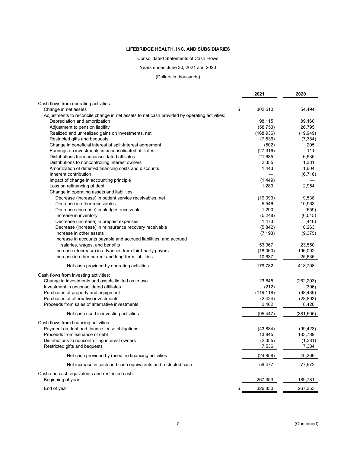Consolidated Statements of Cash Flows

Years ended June 30, 2021 and 2020

(Dollars in thousands)

|                                                                                             | 2021          | 2020       |
|---------------------------------------------------------------------------------------------|---------------|------------|
| Cash flows from operating activities:                                                       |               |            |
| Change in net assets                                                                        | \$<br>302,510 | 54,494     |
| Adjustments to reconcile change in net assets to net cash provided by operating activities: |               |            |
| Depreciation and amortization                                                               | 98,115        | 89,160     |
| Adjustment to pension liability                                                             | (58, 753)     | 26,795     |
| Realized and unrealized gains on investments, net                                           | (168, 936)    | (19, 949)  |
| Restricted gifts and bequests                                                               | (7, 536)      | (7, 384)   |
| Change in beneficial interest of split-interest agreement                                   | (502)         | 205        |
| Earnings on investments in unconsolidated affiliates                                        | (27, 316)     | 111        |
| Distributions from unconsolidated affiliates                                                | 21,685        | 6,536      |
| Distributions to noncontrolling interest owners                                             | 2,355         | 1,381      |
| Amortization of deferred financing costs and discounts                                      | 1,443         | 1,604      |
| Inherent contribution                                                                       |               | (6, 716)   |
| Impact of change in accounting principle                                                    | (1, 449)      |            |
| Loss on refinancing of debt                                                                 | 1,289         | 2,954      |
| Change in operating assets and liabilities:                                                 |               |            |
| Decrease (increase) in patient service receivables, net                                     | (19,093)      | 19,538     |
| Decrease in other receivables                                                               | 5,546         | 10,963     |
| Decrease (increase) in pledges receivable                                                   | 1,290         | (659)      |
| Increase in inventory                                                                       | (5,248)       | (6,045)    |
| Decrease (increase) in prepaid expenses                                                     | 1,473         | (446)      |
| Decrease (increase) in reinsurance recovery receivable                                      | (5,842)       | 10,263     |
| Increase in other assets                                                                    | (7, 193)      | (9,375)    |
| Increase in accounts payable and accrued liabilities, and accrued                           |               |            |
| salaries, wages, and benefits                                                               | 53,367        | 23,550     |
| Increase (decrease) in advances from third-party payors                                     | (18,060)      | 196,092    |
| Increase in other current and long-term liabilities                                         | 10,637        | 25,636     |
| Net cash provided by operating activities                                                   | 179,782       | 418,708    |
| Cash flows from investing activities:                                                       |               |            |
| Change in investments and assets limited as to use                                          | 23,845        | (262, 203) |
| Investment in unconsolidated affiliates                                                     | (212)         | (396)      |
| Purchases of property and equipment                                                         | (119, 118)    | (98, 439)  |
| Purchases of alternative investments                                                        | (2, 424)      | (28, 893)  |
| Proceeds from sales of alternative investments                                              | 2,462         | 8,426      |
| Net cash used in investing activities                                                       | (95, 447)     | (381, 505) |
| Cash flows from financing activities:                                                       |               |            |
| Payment on debt and finance lease obligations                                               | (43, 884)     | (99, 423)  |
| Proceeds from issuance of debt                                                              | 13,845        | 133,789    |
| Distributions to noncontrolling interest owners                                             | (2,355)       | (1, 381)   |
| Restricted gifts and bequests                                                               | 7,536         | 7,384      |
|                                                                                             |               |            |
| Net cash provided by (used in) financing activities                                         | (24, 858)     | 40,369     |
| Net increase in cash and cash equivalents and restricted cash                               | 59,477        | 77,572     |
| Cash and cash equivalents and restricted cash:                                              |               |            |
| Beginning of year                                                                           | 267,353       | 189,781    |
| End of year                                                                                 | \$<br>326,830 | 267,353    |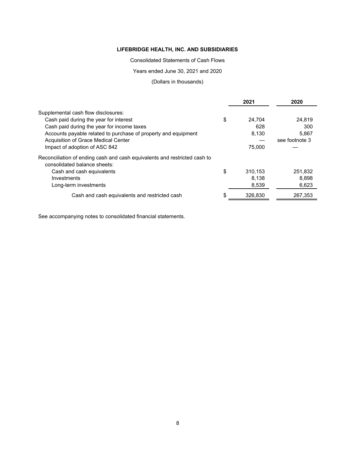Consolidated Statements of Cash Flows

Years ended June 30, 2021 and 2020

# (Dollars in thousands)

|                                                                           |    | 2021    | 2020           |
|---------------------------------------------------------------------------|----|---------|----------------|
| Supplemental cash flow disclosures:                                       |    |         |                |
| Cash paid during the year for interest                                    | \$ | 24.704  | 24,819         |
| Cash paid during the year for income taxes                                |    | 628     | 300            |
| Accounts payable related to purchase of property and equipment            |    | 8,130   | 5,867          |
| Acquisition of Grace Medical Center                                       |    |         | see footnote 3 |
| Impact of adoption of ASC 842                                             |    | 75,000  |                |
| Reconciliation of ending cash and cash equivalents and restricted cash to |    |         |                |
| consolidated balance sheets:                                              |    |         |                |
| Cash and cash equivalents                                                 | \$ | 310,153 | 251,832        |
| Investments                                                               |    | 8.138   | 8,898          |
| Long-term investments                                                     |    | 8,539   | 6,623          |
| Cash and cash equivalents and restricted cash                             | S  | 326,830 | 267,353        |
|                                                                           |    |         |                |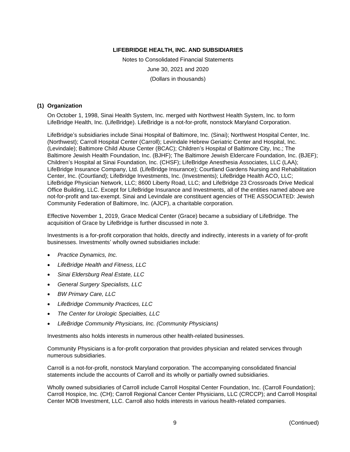Notes to Consolidated Financial Statements June 30, 2021 and 2020 (Dollars in thousands)

# **(1) Organization**

On October 1, 1998, Sinai Health System, Inc. merged with Northwest Health System, Inc. to form LifeBridge Health, Inc. (LifeBridge). LifeBridge is a not-for-profit, nonstock Maryland Corporation.

LifeBridge's subsidiaries include Sinai Hospital of Baltimore, Inc. (Sinai); Northwest Hospital Center, Inc. (Northwest); Carroll Hospital Center (Carroll); Levindale Hebrew Geriatric Center and Hospital, Inc. (Levindale); Baltimore Child Abuse Center (BCAC); Children's Hospital of Baltimore City, Inc.; The Baltimore Jewish Health Foundation, Inc. (BJHF); The Baltimore Jewish Eldercare Foundation, Inc. (BJEF); Children's Hospital at Sinai Foundation, Inc. (CHSF); LifeBridge Anesthesia Associates, LLC (LAA); LifeBridge Insurance Company, Ltd. (LifeBridge Insurance); Courtland Gardens Nursing and Rehabilitation Center, Inc. (Courtland); LifeBridge Investments, Inc. (Investments); LifeBridge Health ACO, LLC; LifeBridge Physician Network, LLC; 8600 Liberty Road, LLC; and LifeBridge 23 Crossroads Drive Medical Office Building, LLC. Except for LifeBridge Insurance and Investments, all of the entities named above are not-for-profit and tax-exempt. Sinai and Levindale are constituent agencies of THE ASSOCIATED: Jewish Community Federation of Baltimore, Inc. (AJCF), a charitable corporation.

Effective November 1, 2019, Grace Medical Center (Grace) became a subsidiary of LifeBridge. The acquisition of Grace by LifeBridge is further discussed in note 3.

Investments is a for-profit corporation that holds, directly and indirectly, interests in a variety of for-profit businesses. Investments' wholly owned subsidiaries include:

- *Practice Dynamics, Inc.*
- *LifeBridge Health and Fitness, LLC*
- *Sinai Eldersburg Real Estate, LLC*
- *General Surgery Specialists, LLC*
- *BW Primary Care, LLC*
- *LifeBridge Community Practices, LLC*
- *The Center for Urologic Specialties, LLC*
- *LifeBridge Community Physicians, Inc. (Community Physicians)*

Investments also holds interests in numerous other health-related businesses.

Community Physicians is a for-profit corporation that provides physician and related services through numerous subsidiaries.

Carroll is a not-for-profit, nonstock Maryland corporation. The accompanying consolidated financial statements include the accounts of Carroll and its wholly or partially owned subsidiaries.

Wholly owned subsidiaries of Carroll include Carroll Hospital Center Foundation, Inc. (Carroll Foundation); Carroll Hospice, Inc. (CH); Carroll Regional Cancer Center Physicians, LLC (CRCCP); and Carroll Hospital Center MOB Investment, LLC. Carroll also holds interests in various health-related companies.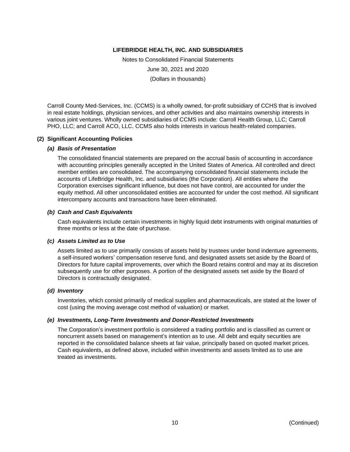Notes to Consolidated Financial Statements June 30, 2021 and 2020 (Dollars in thousands)

Carroll County Med-Services, Inc. (CCMS) is a wholly owned, for-profit subsidiary of CCHS that is involved in real estate holdings, physician services, and other activities and also maintains ownership interests in various joint ventures. Wholly owned subsidiaries of CCMS include: Carroll Health Group, LLC; Carroll PHO, LLC; and Carroll ACO, LLC. CCMS also holds interests in various health-related companies.

# **(2) Significant Accounting Policies**

# *(a) Basis of Presentation*

The consolidated financial statements are prepared on the accrual basis of accounting in accordance with accounting principles generally accepted in the United States of America. All controlled and direct member entities are consolidated. The accompanying consolidated financial statements include the accounts of LifeBridge Health, Inc. and subsidiaries (the Corporation). All entities where the Corporation exercises significant influence, but does not have control, are accounted for under the equity method. All other unconsolidated entities are accounted for under the cost method. All significant intercompany accounts and transactions have been eliminated.

# *(b) Cash and Cash Equivalents*

Cash equivalents include certain investments in highly liquid debt instruments with original maturities of three months or less at the date of purchase.

# *(c) Assets Limited as to Use*

Assets limited as to use primarily consists of assets held by trustees under bond indenture agreements, a self-insured workers' compensation reserve fund, and designated assets set aside by the Board of Directors for future capital improvements, over which the Board retains control and may at its discretion subsequently use for other purposes. A portion of the designated assets set aside by the Board of Directors is contractually designated.

# *(d) Inventory*

Inventories, which consist primarily of medical supplies and pharmaceuticals, are stated at the lower of cost (using the moving average cost method of valuation) or market.

# *(e) Investments, Long-Term Investments and Donor-Restricted Investments*

The Corporation's investment portfolio is considered a trading portfolio and is classified as current or noncurrent assets based on management's intention as to use. All debt and equity securities are reported in the consolidated balance sheets at fair value, principally based on quoted market prices. Cash equivalents, as defined above, included within investments and assets limited as to use are treated as investments.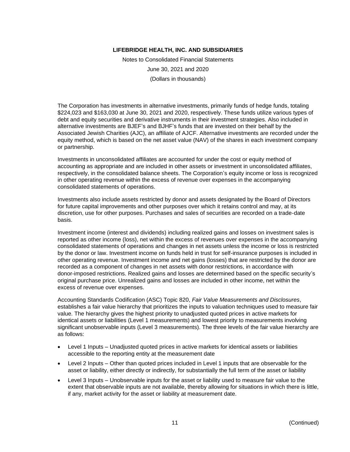Notes to Consolidated Financial Statements June 30, 2021 and 2020 (Dollars in thousands)

The Corporation has investments in alternative investments, primarily funds of hedge funds, totaling \$224,023 and \$163,030 at June 30, 2021 and 2020, respectively. These funds utilize various types of debt and equity securities and derivative instruments in their investment strategies. Also included in alternative investments are BJEF's and BJHF's funds that are invested on their behalf by the Associated Jewish Charities (AJC), an affiliate of AJCF. Alternative investments are recorded under the equity method, which is based on the net asset value (NAV) of the shares in each investment company or partnership.

Investments in unconsolidated affiliates are accounted for under the cost or equity method of accounting as appropriate and are included in other assets or investment in unconsolidated affiliates, respectively, in the consolidated balance sheets. The Corporation's equity income or loss is recognized in other operating revenue within the excess of revenue over expenses in the accompanying consolidated statements of operations.

Investments also include assets restricted by donor and assets designated by the Board of Directors for future capital improvements and other purposes over which it retains control and may, at its discretion, use for other purposes. Purchases and sales of securities are recorded on a trade-date basis.

Investment income (interest and dividends) including realized gains and losses on investment sales is reported as other income (loss), net within the excess of revenues over expenses in the accompanying consolidated statements of operations and changes in net assets unless the income or loss is restricted by the donor or law. Investment income on funds held in trust for self-insurance purposes is included in other operating revenue. Investment income and net gains (losses) that are restricted by the donor are recorded as a component of changes in net assets with donor restrictions, in accordance with donor-imposed restrictions. Realized gains and losses are determined based on the specific security's original purchase price. Unrealized gains and losses are included in other income, net within the excess of revenue over expenses.

Accounting Standards Codification (ASC) Topic 820, *Fair Value Measurements and Disclosures*, establishes a fair value hierarchy that prioritizes the inputs to valuation techniques used to measure fair value. The hierarchy gives the highest priority to unadjusted quoted prices in active markets for identical assets or liabilities (Level 1 measurements) and lowest priority to measurements involving significant unobservable inputs (Level 3 measurements). The three levels of the fair value hierarchy are as follows:

- Level 1 Inputs Unadjusted quoted prices in active markets for identical assets or liabilities accessible to the reporting entity at the measurement date
- Level 2 Inputs Other than quoted prices included in Level 1 inputs that are observable for the asset or liability, either directly or indirectly, for substantially the full term of the asset or liability
- Level 3 Inputs Unobservable inputs for the asset or liability used to measure fair value to the extent that observable inputs are not available, thereby allowing for situations in which there is little, if any, market activity for the asset or liability at measurement date.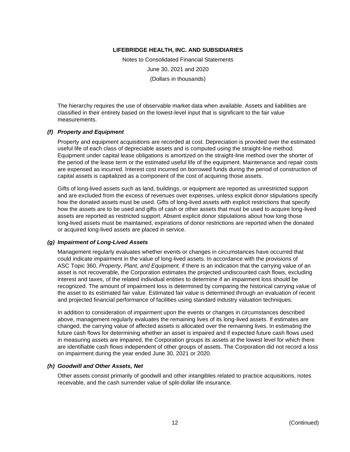Notes to Consolidated Financial Statements June 30, 2021 and 2020 (Dollars in thousands)

The hierarchy requires the use of observable market data when available. Assets and liabilities are classified in their entirety based on the lowest-level input that is significant to the fair value measurements.

# *(f) Property and Equipment*

Property and equipment acquisitions are recorded at cost. Depreciation is provided over the estimated useful life of each class of depreciable assets and is computed using the straight-line method. Equipment under capital lease obligations is amortized on the straight-line method over the shorter of the period of the lease term or the estimated useful life of the equipment. Maintenance and repair costs are expensed as incurred. Interest cost incurred on borrowed funds during the period of construction of capital assets is capitalized as a component of the cost of acquiring those assets.

Gifts of long-lived assets such as land, buildings, or equipment are reported as unrestricted support and are excluded from the excess of revenues over expenses, unless explicit donor stipulations specify how the donated assets must be used. Gifts of long-lived assets with explicit restrictions that specify how the assets are to be used and gifts of cash or other assets that must be used to acquire long-lived assets are reported as restricted support. Absent explicit donor stipulations about how long those long-lived assets must be maintained, expirations of donor restrictions are reported when the donated or acquired long-lived assets are placed in service.

# *(g) Impairment of Long-Lived Assets*

Management regularly evaluates whether events or changes in circumstances have occurred that could indicate impairment in the value of long-lived assets. In accordance with the provisions of ASC Topic 360, *Property, Plant, and Equipment,* if there is an indication that the carrying value of an asset is not recoverable, the Corporation estimates the projected undiscounted cash flows, excluding interest and taxes, of the related individual entities to determine if an impairment loss should be recognized. The amount of impairment loss is determined by comparing the historical carrying value of the asset to its estimated fair value. Estimated fair value is determined through an evaluation of recent and projected financial performance of facilities using standard industry valuation techniques.

In addition to consideration of impairment upon the events or changes in circumstances described above, management regularly evaluates the remaining lives of its long-lived assets. If estimates are changed, the carrying value of affected assets is allocated over the remaining lives. In estimating the future cash flows for determining whether an asset is impaired and if expected future cash flows used in measuring assets are impaired, the Corporation groups its assets at the lowest level for which there are identifiable cash flows independent of other groups of assets. The Corporation did not record a loss on impairment during the year ended June 30, 2021 or 2020.

# *(h) Goodwill and Other Assets, Net*

Other assets consist primarily of goodwill and other intangibles related to practice acquisitions, notes receivable, and the cash surrender value of split-dollar life insurance.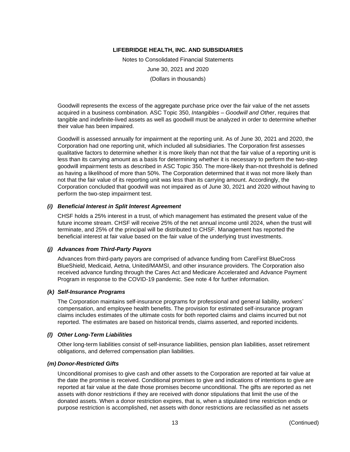Notes to Consolidated Financial Statements June 30, 2021 and 2020 (Dollars in thousands)

Goodwill represents the excess of the aggregate purchase price over the fair value of the net assets acquired in a business combination. ASC Topic 350, *Intangibles – Goodwill and Other*, requires that tangible and indefinite-lived assets as well as goodwill must be analyzed in order to determine whether their value has been impaired.

Goodwill is assessed annually for impairment at the reporting unit. As of June 30, 2021 and 2020, the Corporation had one reporting unit, which included all subsidiaries. The Corporation first assesses qualitative factors to determine whether it is more likely than not that the fair value of a reporting unit is less than its carrying amount as a basis for determining whether it is necessary to perform the two-step goodwill impairment tests as described in ASC Topic 350. The more-likely than-not threshold is defined as having a likelihood of more than 50%. The Corporation determined that it was not more likely than not that the fair value of its reporting unit was less than its carrying amount. Accordingly, the Corporation concluded that goodwill was not impaired as of June 30, 2021 and 2020 without having to perform the two-step impairment test.

# *(i) Beneficial Interest in Split Interest Agreement*

CHSF holds a 25% interest in a trust, of which management has estimated the present value of the future income stream. CHSF will receive 25% of the net annual income until 2024, when the trust will terminate, and 25% of the principal will be distributed to CHSF. Management has reported the beneficial interest at fair value based on the fair value of the underlying trust investments.

# *(j) Advances from Third-Party Payors*

Advances from third-party payors are comprised of advance funding from CareFirst BlueCross BlueShield, Medicaid, Aetna, United/MAMSI, and other insurance providers. The Corporation also received advance funding through the Cares Act and Medicare Accelerated and Advance Payment Program in response to the COVID-19 pandemic. See note 4 for further information.

# *(k) Self-Insurance Programs*

The Corporation maintains self-insurance programs for professional and general liability, workers' compensation, and employee health benefits. The provision for estimated self-insurance program claims includes estimates of the ultimate costs for both reported claims and claims incurred but not reported. The estimates are based on historical trends, claims asserted, and reported incidents.

# *(l) Other Long-Term Liabilities*

Other long-term liabilities consist of self-insurance liabilities, pension plan liabilities, asset retirement obligations, and deferred compensation plan liabilities.

# *(m) Donor-Restricted Gifts*

Unconditional promises to give cash and other assets to the Corporation are reported at fair value at the date the promise is received. Conditional promises to give and indications of intentions to give are reported at fair value at the date those promises become unconditional. The gifts are reported as net assets with donor restrictions if they are received with donor stipulations that limit the use of the donated assets. When a donor restriction expires, that is, when a stipulated time restriction ends or purpose restriction is accomplished, net assets with donor restrictions are reclassified as net assets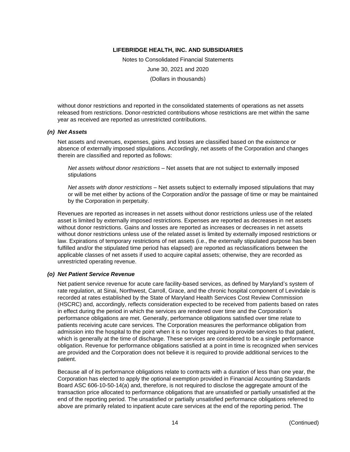Notes to Consolidated Financial Statements June 30, 2021 and 2020 (Dollars in thousands)

without donor restrictions and reported in the consolidated statements of operations as net assets released from restrictions. Donor-restricted contributions whose restrictions are met within the same year as received are reported as unrestricted contributions.

# *(n) Net Assets*

Net assets and revenues, expenses, gains and losses are classified based on the existence or absence of externally imposed stipulations. Accordingly, net assets of the Corporation and changes therein are classified and reported as follows:

*Net assets without donor restrictions* – Net assets that are not subject to externally imposed stipulations

*Net assets with donor restrictions* – Net assets subject to externally imposed stipulations that may or will be met either by actions of the Corporation and/or the passage of time or may be maintained by the Corporation in perpetuity.

Revenues are reported as increases in net assets without donor restrictions unless use of the related asset is limited by externally imposed restrictions. Expenses are reported as decreases in net assets without donor restrictions. Gains and losses are reported as increases or decreases in net assets without donor restrictions unless use of the related asset is limited by externally imposed restrictions or law. Expirations of temporary restrictions of net assets (i.e., the externally stipulated purpose has been fulfilled and/or the stipulated time period has elapsed) are reported as reclassifications between the applicable classes of net assets if used to acquire capital assets; otherwise, they are recorded as unrestricted operating revenue.

# *(o) Net Patient Service Revenue*

Net patient service revenue for acute care facility-based services, as defined by Maryland's system of rate regulation, at Sinai, Northwest, Carroll, Grace, and the chronic hospital component of Levindale is recorded at rates established by the State of Maryland Health Services Cost Review Commission (HSCRC) and, accordingly, reflects consideration expected to be received from patients based on rates in effect during the period in which the services are rendered over time and the Corporation's performance obligations are met. Generally, performance obligations satisfied over time relate to patients receiving acute care services. The Corporation measures the performance obligation from admission into the hospital to the point when it is no longer required to provide services to that patient, which is generally at the time of discharge. These services are considered to be a single performance obligation. Revenue for performance obligations satisfied at a point in time is recognized when services are provided and the Corporation does not believe it is required to provide additional services to the patient.

Because all of its performance obligations relate to contracts with a duration of less than one year, the Corporation has elected to apply the optional exemption provided in Financial Accounting Standards Board ASC 606-10-50-14(a) and, therefore, is not required to disclose the aggregate amount of the transaction price allocated to performance obligations that are unsatisfied or partially unsatisfied at the end of the reporting period. The unsatisfied or partially unsatisfied performance obligations referred to above are primarily related to inpatient acute care services at the end of the reporting period. The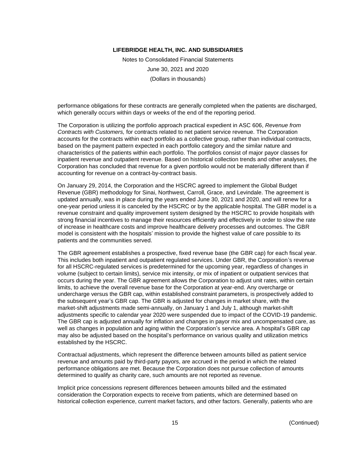Notes to Consolidated Financial Statements June 30, 2021 and 2020 (Dollars in thousands)

performance obligations for these contracts are generally completed when the patients are discharged, which generally occurs within days or weeks of the end of the reporting period.

The Corporation is utilizing the portfolio approach practical expedient in ASC 606, *Revenue from Contracts with Customers,* for contracts related to net patient service revenue. The Corporation accounts for the contracts within each portfolio as a collective group, rather than individual contracts, based on the payment pattern expected in each portfolio category and the similar nature and characteristics of the patients within each portfolio. The portfolios consist of major payor classes for inpatient revenue and outpatient revenue. Based on historical collection trends and other analyses, the Corporation has concluded that revenue for a given portfolio would not be materially different than if accounting for revenue on a contract-by-contract basis.

On January 29, 2014, the Corporation and the HSCRC agreed to implement the Global Budget Revenue (GBR) methodology for Sinai, Northwest, Carroll, Grace, and Levindale. The agreement is updated annually, was in place during the years ended June 30, 2021 and 2020, and will renew for a one-year period unless it is canceled by the HSCRC or by the applicable hospital. The GBR model is a revenue constraint and quality improvement system designed by the HSCRC to provide hospitals with strong financial incentives to manage their resources efficiently and effectively in order to slow the rate of increase in healthcare costs and improve healthcare delivery processes and outcomes. The GBR model is consistent with the hospitals' mission to provide the highest value of care possible to its patients and the communities served.

The GBR agreement establishes a prospective, fixed revenue base (the GBR cap) for each fiscal year. This includes both inpatient and outpatient regulated services. Under GBR, the Corporation's revenue for all HSCRC-regulated services is predetermined for the upcoming year, regardless of changes in volume (subject to certain limits), service mix intensity, or mix of inpatient or outpatient services that occurs during the year. The GBR agreement allows the Corporation to adjust unit rates, within certain limits, to achieve the overall revenue base for the Corporation at year-end. Any overcharge or undercharge versus the GBR cap, within established constraint parameters, is prospectively added to the subsequent year's GBR cap. The GBR is adjusted for changes in market share, with the market-shift adjustments made semi-annually, on January 1 and July 1, although market-shift adjustments specific to calendar year 2020 were suspended due to impact of the COVID-19 pandemic. The GBR cap is adjusted annually for inflation and changes in payor mix and uncompensated care, as well as changes in population and aging within the Corporation's service area. A hospital's GBR cap may also be adjusted based on the hospital's performance on various quality and utilization metrics established by the HSCRC.

Contractual adjustments, which represent the difference between amounts billed as patient service revenue and amounts paid by third-party payors, are accrued in the period in which the related performance obligations are met. Because the Corporation does not pursue collection of amounts determined to qualify as charity care, such amounts are not reported as revenue.

Implicit price concessions represent differences between amounts billed and the estimated consideration the Corporation expects to receive from patients, which are determined based on historical collection experience, current market factors, and other factors. Generally, patients who are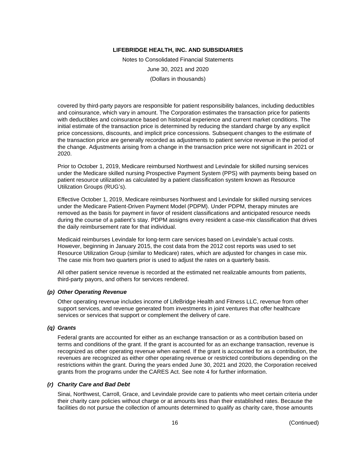Notes to Consolidated Financial Statements June 30, 2021 and 2020 (Dollars in thousands)

covered by third-party payors are responsible for patient responsibility balances, including deductibles and coinsurance, which vary in amount. The Corporation estimates the transaction price for patients with deductibles and coinsurance based on historical experience and current market conditions. The initial estimate of the transaction price is determined by reducing the standard charge by any explicit price concessions, discounts, and implicit price concessions. Subsequent changes to the estimate of the transaction price are generally recorded as adjustments to patient service revenue in the period of the change. Adjustments arising from a change in the transaction price were not significant in 2021 or 2020.

Prior to October 1, 2019, Medicare reimbursed Northwest and Levindale for skilled nursing services under the Medicare skilled nursing Prospective Payment System (PPS) with payments being based on patient resource utilization as calculated by a patient classification system known as Resource Utilization Groups (RUG's).

Effective October 1, 2019, Medicare reimburses Northwest and Levindale for skilled nursing services under the Medicare Patient-Driven Payment Model (PDPM). Under PDPM, therapy minutes are removed as the basis for payment in favor of resident classifications and anticipated resource needs during the course of a patient's stay. PDPM assigns every resident a case-mix classification that drives the daily reimbursement rate for that individual.

Medicaid reimburses Levindale for long-term care services based on Levindale's actual costs. However, beginning in January 2015, the cost data from the 2012 cost reports was used to set Resource Utilization Group (similar to Medicare) rates, which are adjusted for changes in case mix. The case mix from two quarters prior is used to adjust the rates on a quarterly basis.

All other patient service revenue is recorded at the estimated net realizable amounts from patients, third-party payors, and others for services rendered.

# *(p) Other Operating Revenue*

Other operating revenue includes income of LifeBridge Health and Fitness LLC, revenue from other support services, and revenue generated from investments in joint ventures that offer healthcare services or services that support or complement the delivery of care.

# *(q) Grants*

Federal grants are accounted for either as an exchange transaction or as a contribution based on terms and conditions of the grant. If the grant is accounted for as an exchange transaction, revenue is recognized as other operating revenue when earned. If the grant is accounted for as a contribution, the revenues are recognized as either other operating revenue or restricted contributions depending on the restrictions within the grant. During the years ended June 30, 2021 and 2020, the Corporation received grants from the programs under the CARES Act. See note 4 for further information.

# *(r) Charity Care and Bad Debt*

Sinai, Northwest, Carroll, Grace, and Levindale provide care to patients who meet certain criteria under their charity care policies without charge or at amounts less than their established rates. Because the facilities do not pursue the collection of amounts determined to qualify as charity care, those amounts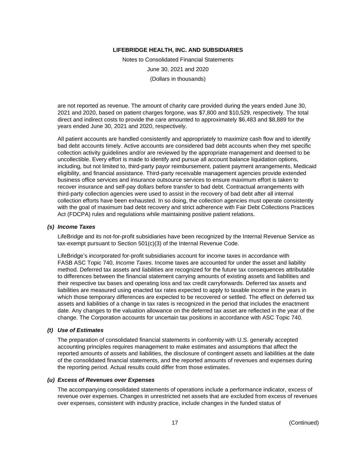Notes to Consolidated Financial Statements June 30, 2021 and 2020 (Dollars in thousands)

are not reported as revenue. The amount of charity care provided during the years ended June 30, 2021 and 2020, based on patient charges forgone, was \$7,800 and \$10,529, respectively. The total direct and indirect costs to provide the care amounted to approximately \$6,483 and \$8,889 for the years ended June 30, 2021 and 2020, respectively.

All patient accounts are handled consistently and appropriately to maximize cash flow and to identify bad debt accounts timely. Active accounts are considered bad debt accounts when they met specific collection activity guidelines and/or are reviewed by the appropriate management and deemed to be uncollectible. Every effort is made to identify and pursue all account balance liquidation options, including, but not limited to, third-party payor reimbursement, patient payment arrangements, Medicaid eligibility, and financial assistance. Third-party receivable management agencies provide extended business office services and insurance outsource services to ensure maximum effort is taken to recover insurance and self-pay dollars before transfer to bad debt. Contractual arrangements with third-party collection agencies were used to assist in the recovery of bad debt after all internal collection efforts have been exhausted. In so doing, the collection agencies must operate consistently with the goal of maximum bad debt recovery and strict adherence with Fair Debt Collections Practices Act (FDCPA) rules and regulations while maintaining positive patient relations.

# *(s) Income Taxes*

LifeBridge and its not-for-profit subsidiaries have been recognized by the Internal Revenue Service as tax-exempt pursuant to Section 501(c)(3) of the Internal Revenue Code.

LifeBridge's incorporated for-profit subsidiaries account for income taxes in accordance with FASB ASC Topic 740, *Income Taxes*. Income taxes are accounted for under the asset and liability method. Deferred tax assets and liabilities are recognized for the future tax consequences attributable to differences between the financial statement carrying amounts of existing assets and liabilities and their respective tax bases and operating loss and tax credit carryforwards. Deferred tax assets and liabilities are measured using enacted tax rates expected to apply to taxable income in the years in which those temporary differences are expected to be recovered or settled. The effect on deferred tax assets and liabilities of a change in tax rates is recognized in the period that includes the enactment date. Any changes to the valuation allowance on the deferred tax asset are reflected in the year of the change. The Corporation accounts for uncertain tax positions in accordance with ASC Topic 740.

# *(t) Use of Estimates*

The preparation of consolidated financial statements in conformity with U.S. generally accepted accounting principles requires management to make estimates and assumptions that affect the reported amounts of assets and liabilities, the disclosure of contingent assets and liabilities at the date of the consolidated financial statements, and the reported amounts of revenues and expenses during the reporting period. Actual results could differ from those estimates.

# *(u) Excess of Revenues over Expenses*

The accompanying consolidated statements of operations include a performance indicator, excess of revenue over expenses. Changes in unrestricted net assets that are excluded from excess of revenues over expenses, consistent with industry practice, include changes in the funded status of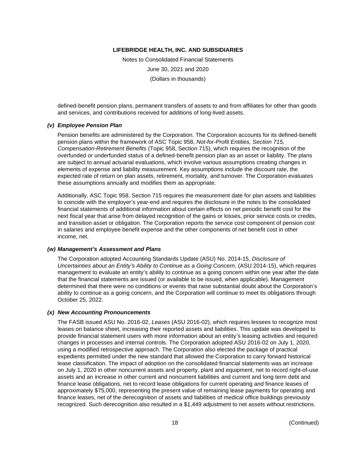Notes to Consolidated Financial Statements June 30, 2021 and 2020 (Dollars in thousands)

defined-benefit pension plans, permanent transfers of assets to and from affiliates for other than goods and services, and contributions received for additions of long-lived assets.

# *(v) Employee Pension Plan*

Pension benefits are administered by the Corporation. The Corporation accounts for its defined-benefit pension plans within the framework of ASC Topic 958, *Not-for-Profit Entities, Section 715, Compensation-Retirement Benefits* (Topic 958, Section 715), which requires the recognition of the overfunded or underfunded status of a defined-benefit pension plan as an asset or liability. The plans are subject to annual actuarial evaluations, which involve various assumptions creating changes in elements of expense and liability measurement. Key assumptions include the discount rate, the expected rate of return on plan assets, retirement, mortality, and turnover. The Corporation evaluates these assumptions annually and modifies them as appropriate.

Additionally, ASC Topic 958, Section 715 requires the measurement date for plan assets and liabilities to coincide with the employer's year-end and requires the disclosure in the notes to the consolidated financial statements of additional information about certain effects on net periodic benefit cost for the next fiscal year that arise from delayed recognition of the gains or losses, prior service costs or credits, and transition asset or obligation. The Corporation reports the service cost component of pension cost in salaries and employee benefit expense and the other components of net benefit cost in other income, net.

# *(w) Management's Assessment and Plans*

The Corporation adopted Accounting Standards Update (ASU) No. 2014-15, *Disclosure of Uncertainties about an Entity's Ability to Continue as a Going Concern*, (ASU 2014-15), which requires management to evaluate an entity's ability to continue as a going concern within one year after the date that the financial statements are issued (or available to be issued, when applicable). Management determined that there were no conditions or events that raise substantial doubt about the Corporation's ability to continue as a going concern, and the Corporation will continue to meet its obligations through October 25, 2022.

# *(x) New Accounting Pronouncements*

The FASB issued ASU No. 2016-02, *Leases* (ASU 2016-02), which requires lessees to recognize most leases on balance sheet, increasing their reported assets and liabilities. This update was developed to provide financial statement users with more information about an entity's leasing activities and required changes in processes and internal controls. The Corporation adopted ASU 2016-02 on July 1, 2020, using a modified retrospective approach. The Corporation also elected the package of practical expedients permitted under the new standard that allowed the Corporation to carry forward historical lease classification. The impact of adoption on the consolidated financial statements was an increase on July 1, 2020 in other noncurrent assets and property, plant and equipment, net to record right-of-use assets and an increase in other current and noncurrent liabilities and current and long term debt and finance lease obligations, net to record lease obligations for current operating and finance leases of approximately \$75,000, representing the present value of remaining lease payments for operating and finance leases, net of the derecognition of assets and liabilities of medical office buildings previously recognized. Such derecognition also resulted in a \$1,449 adjustment to net assets without restrictions.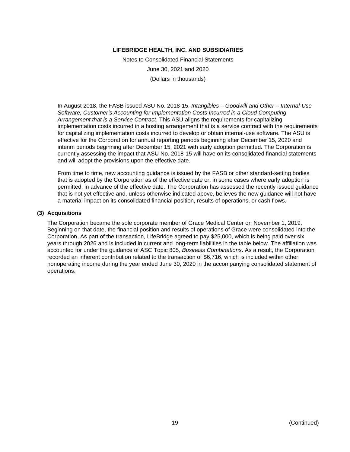Notes to Consolidated Financial Statements June 30, 2021 and 2020 (Dollars in thousands)

In August 2018, the FASB issued ASU No. 2018-15, *Intangibles – Goodwill and Other – Internal-Use Software, Customer's Accounting for Implementation Costs Incurred in a Cloud Computing Arrangement that is a Service Contract*. This ASU aligns the requirements for capitalizing implementation costs incurred in a hosting arrangement that is a service contract with the requirements for capitalizing implementation costs incurred to develop or obtain internal-use software. The ASU is effective for the Corporation for annual reporting periods beginning after December 15, 2020 and interim periods beginning after December 15, 2021 with early adoption permitted. The Corporation is currently assessing the impact that ASU No. 2018-15 will have on its consolidated financial statements and will adopt the provisions upon the effective date.

From time to time, new accounting guidance is issued by the FASB or other standard-setting bodies that is adopted by the Corporation as of the effective date or, in some cases where early adoption is permitted, in advance of the effective date. The Corporation has assessed the recently issued guidance that is not yet effective and, unless otherwise indicated above, believes the new guidance will not have a material impact on its consolidated financial position, results of operations, or cash flows.

# **(3) Acquisitions**

The Corporation became the sole corporate member of Grace Medical Center on November 1, 2019. Beginning on that date, the financial position and results of operations of Grace were consolidated into the Corporation. As part of the transaction, LifeBridge agreed to pay \$25,000, which is being paid over six years through 2026 and is included in current and long-term liabilities in the table below. The affiliation was accounted for under the guidance of ASC Topic 805, *Business Combinations*. As a result, the Corporation recorded an inherent contribution related to the transaction of \$6,716, which is included within other nonoperating income during the year ended June 30, 2020 in the accompanying consolidated statement of operations.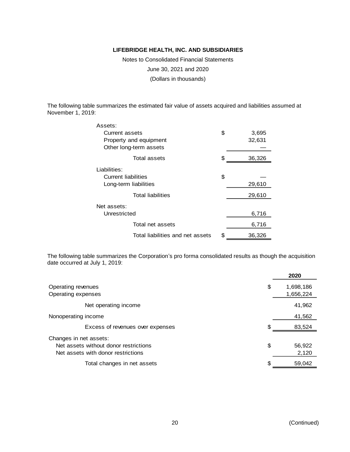Notes to Consolidated Financial Statements June 30, 2021 and 2020 (Dollars in thousands)

The following table summarizes the estimated fair value of assets acquired and liabilities assumed at November 1, 2019:

| Assets:                          |              |
|----------------------------------|--------------|
| <b>Current assets</b>            | \$<br>3,695  |
| Property and equipment           | 32,631       |
| Other long-term assets           |              |
| Total assets                     | \$<br>36,326 |
| Liabilities:                     |              |
| Current liabilities              | \$           |
| Long-term liabilities            | 29,610       |
| <b>Total liabilities</b>         | 29,610       |
| Net assets:                      |              |
| Unrestricted                     | 6,716        |
| Total net assets                 | 6,716        |
| Total liabilities and net assets | \$<br>36,326 |

The following table summarizes the Corporation's pro forma consolidated results as though the acquisition date occurred at July 1, 2019:

|                                                                 | 2020                         |
|-----------------------------------------------------------------|------------------------------|
| Operating revenues<br>Operating expenses                        | \$<br>1,698,186<br>1,656,224 |
| Net operating income                                            | 41,962                       |
| Nonoperating income                                             | 41,562                       |
| Excess of revenues over expenses                                | 83,524                       |
| Changes in net assets:<br>Net assets without donor restrictions | \$<br>56,922                 |
| Net assets with donor restrictions                              | 2,120                        |
| Total changes in net assets                                     | 59,042                       |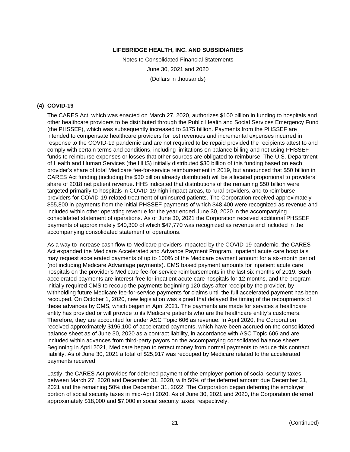Notes to Consolidated Financial Statements June 30, 2021 and 2020 (Dollars in thousands)

# **(4) COVID-19**

The CARES Act, which was enacted on March 27, 2020, authorizes \$100 billion in funding to hospitals and other healthcare providers to be distributed through the Public Health and Social Services Emergency Fund (the PHSSEF), which was subsequently increased to \$175 billion. Payments from the PHSSEF are intended to compensate healthcare providers for lost revenues and incremental expenses incurred in response to the COVID-19 pandemic and are not required to be repaid provided the recipients attest to and comply with certain terms and conditions, including limitations on balance billing and not using PHSSEF funds to reimburse expenses or losses that other sources are obligated to reimburse. The U.S. Department of Health and Human Services (the HHS) initially distributed \$30 billion of this funding based on each provider's share of total Medicare fee-for-service reimbursement in 2019, but announced that \$50 billion in CARES Act funding (including the \$30 billion already distributed) will be allocated proportional to providers' share of 2018 net patient revenue. HHS indicated that distributions of the remaining \$50 billion were targeted primarily to hospitals in COVID-19 high-impact areas, to rural providers, and to reimburse providers for COVID-19-related treatment of uninsured patients. The Corporation received approximately \$55,800 in payments from the initial PHSSEF payments of which \$48,400 were recognized as revenue and included within other operating revenue for the year ended June 30, 2020 in the accompanying consolidated statement of operations. As of June 30, 2021 the Corporation received additional PHSSEF payments of approximately \$40,300 of which \$47,770 was recognized as revenue and included in the accompanying consolidated statement of operations.

As a way to increase cash flow to Medicare providers impacted by the COVID-19 pandemic, the CARES Act expanded the Medicare Accelerated and Advance Payment Program. Inpatient acute care hospitals may request accelerated payments of up to 100% of the Medicare payment amount for a six-month period (not including Medicare Advantage payments). CMS based payment amounts for inpatient acute care hospitals on the provider's Medicare fee-for-service reimbursements in the last six months of 2019. Such accelerated payments are interest-free for inpatient acute care hospitals for 12 months, and the program initially required CMS to recoup the payments beginning 120 days after receipt by the provider, by withholding future Medicare fee-for-service payments for claims until the full accelerated payment has been recouped. On October 1, 2020, new legislation was signed that delayed the timing of the recoupments of these advances by CMS, which began in April 2021. The payments are made for services a healthcare entity has provided or will provide to its Medicare patients who are the healthcare entity's customers. Therefore, they are accounted for under ASC Topic 606 as revenue. In April 2020, the Corporation received approximately \$196,100 of accelerated payments, which have been accrued on the consolidated balance sheet as of June 30, 2020 as a contract liability, in accordance with ASC Topic 606 and are included within advances from third-party payors on the accompanying consolidated balance sheets. Beginning in April 2021, Medicare began to retract money from normal payments to reduce this contract liability. As of June 30, 2021 a total of \$25,917 was recouped by Medicare related to the accelerated payments received.

Lastly, the CARES Act provides for deferred payment of the employer portion of social security taxes between March 27, 2020 and December 31, 2020, with 50% of the deferred amount due December 31, 2021 and the remaining 50% due December 31, 2022. The Corporation began deferring the employer portion of social security taxes in mid-April 2020. As of June 30, 2021 and 2020, the Corporation deferred approximately \$18,000 and \$7,000 in social security taxes, respectively.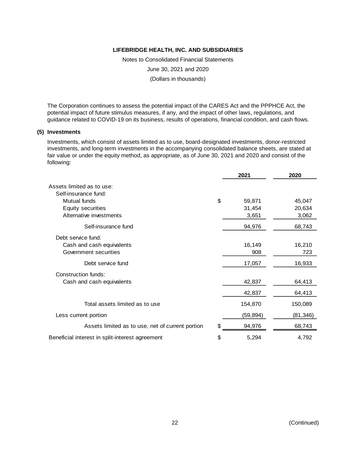Notes to Consolidated Financial Statements June 30, 2021 and 2020 (Dollars in thousands)

The Corporation continues to assess the potential impact of the CARES Act and the PPPHCE Act, the potential impact of future stimulus measures, if any, and the impact of other laws, regulations, and guidance related to COVID-19 on its business, results of operations, financial condition, and cash flows.

### **(5) Investments**

Investments, which consist of assets limited as to use, board-designated investments, donor-restricted investments, and long-term investments in the accompanying consolidated balance sheets, are stated at fair value or under the equity method, as appropriate, as of June 30, 2021 and 2020 and consist of the following:

|                                                  | 2021         | 2020      |
|--------------------------------------------------|--------------|-----------|
| Assets limited as to use:                        |              |           |
| Self-insurance fund:                             |              |           |
| Mutual funds                                     | \$<br>59,871 | 45,047    |
| <b>Equity securities</b>                         | 31,454       | 20,634    |
| Alternative investments                          | 3,651        | 3,062     |
| Self-insurance fund                              | 94,976       | 68,743    |
| Debt service fund:                               |              |           |
| Cash and cash equivalents                        | 16,149       | 16,210    |
| Government securities                            | 908          | 723       |
| Debt service fund                                | 17,057       | 16,933    |
| Construction funds:                              |              |           |
| Cash and cash equivalents                        | 42,837       | 64,413    |
|                                                  | 42,837       | 64,413    |
| Total assets limited as to use                   | 154,870      | 150,089   |
| Less current portion                             | (59, 894)    | (81, 346) |
| Assets limited as to use, net of current portion | \$<br>94,976 | 68,743    |
| Beneficial interest in split-interest agreement  | \$<br>5,294  | 4,792     |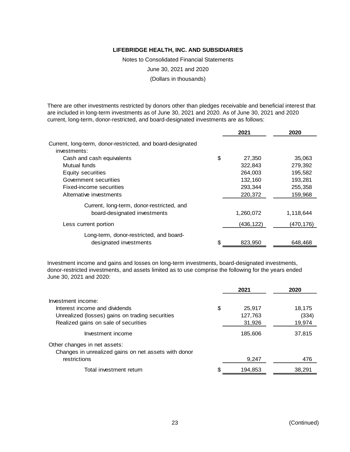Notes to Consolidated Financial Statements

June 30, 2021 and 2020

(Dollars in thousands)

There are other investments restricted by donors other than pledges receivable and beneficial interest that are included in long-term investments as of June 30, 2021 and 2020. As of June 30, 2021 and 2020 current, long-term, donor-restricted, and board-designated investments are as follows:

|                                                            | 2021          | 2020      |
|------------------------------------------------------------|---------------|-----------|
| Current, long-term, donor-restricted, and board-designated |               |           |
| investments:                                               |               |           |
| Cash and cash equivalents                                  | \$<br>27,350  | 35,063    |
| Mutual funds                                               | 322,843       | 279,392   |
| <b>Equity securities</b>                                   | 264.003       | 195.582   |
| Government securities                                      | 132,160       | 193,281   |
| Fixed-income securities                                    | 293,344       | 255,358   |
| Alternative investments                                    | 220,372       | 159,968   |
| Current, long-term, donor-restricted, and                  |               |           |
| board-designated investments                               | 1,260,072     | 1,118,644 |
| Less current portion                                       | (436, 122)    | (470,176) |
| Long-term, donor-restricted, and board-                    |               |           |
| designated investments                                     | \$<br>823,950 | 648,468   |

Investment income and gains and losses on long-term investments, board-designated investments, donor-restricted investments, and assets limited as to use comprise the following for the years ended June 30, 2021 and 2020:

|                                                                                      |    | 2021    | 2020   |
|--------------------------------------------------------------------------------------|----|---------|--------|
| Investment income:                                                                   |    |         |        |
| Interest income and dividends                                                        | \$ | 25,917  | 18.175 |
| Unrealized (losses) gains on trading securities                                      |    | 127,763 | (334)  |
| Realized gains on sale of securities                                                 |    | 31,926  | 19,974 |
| Investment income                                                                    |    | 185,606 | 37,815 |
| Other changes in net assets:<br>Changes in unrealized gains on net assets with donor |    |         |        |
| restrictions                                                                         |    | 9,247   | 476    |
| Total investment return                                                              | S  | 194,853 | 38,291 |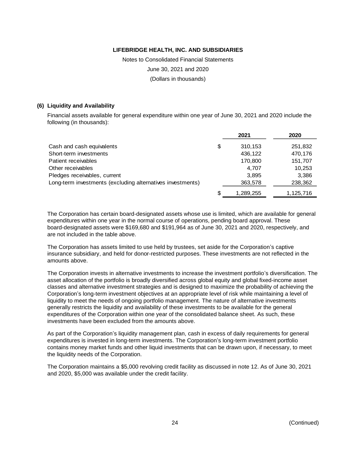Notes to Consolidated Financial Statements June 30, 2021 and 2020 (Dollars in thousands)

# **(6) Liquidity and Availability**

Financial assets available for general expenditure within one year of June 30, 2021 and 2020 include the following (in thousands):

|                                                            | 2021            | 2020      |
|------------------------------------------------------------|-----------------|-----------|
| Cash and cash equivalents                                  | \$<br>310,153   | 251,832   |
| Short-term investments                                     | 436,122         | 470,176   |
| Patient receivables                                        | 170,800         | 151,707   |
| Other receivables                                          | 4.707           | 10,253    |
| Pledges receivables, current                               | 3,895           | 3,386     |
| Long-term investments (excluding alternatives investments) | 363,578         | 238,362   |
|                                                            | \$<br>1,289,255 | 1,125,716 |

The Corporation has certain board-designated assets whose use is limited, which are available for general expenditures within one year in the normal course of operations, pending board approval. These board-designated assets were \$169,680 and \$191,964 as of June 30, 2021 and 2020, respectively, and are not included in the table above.

The Corporation has assets limited to use held by trustees, set aside for the Corporation's captive insurance subsidiary, and held for donor-restricted purposes. These investments are not reflected in the amounts above.

The Corporation invests in alternative investments to increase the investment portfolio's diversification. The asset allocation of the portfolio is broadly diversified across global equity and global fixed-income asset classes and alternative investment strategies and is designed to maximize the probability of achieving the Corporation's long-term investment objectives at an appropriate level of risk while maintaining a level of liquidity to meet the needs of ongoing portfolio management. The nature of alternative investments generally restricts the liquidity and availability of these investments to be available for the general expenditures of the Corporation within one year of the consolidated balance sheet. As such, these investments have been excluded from the amounts above.

As part of the Corporation's liquidity management plan, cash in excess of daily requirements for general expenditures is invested in long-term investments. The Corporation's long-term investment portfolio contains money market funds and other liquid investments that can be drawn upon, if necessary, to meet the liquidity needs of the Corporation.

The Corporation maintains a \$5,000 revolving credit facility as discussed in note 12. As of June 30, 2021 and 2020, \$5,000 was available under the credit facility.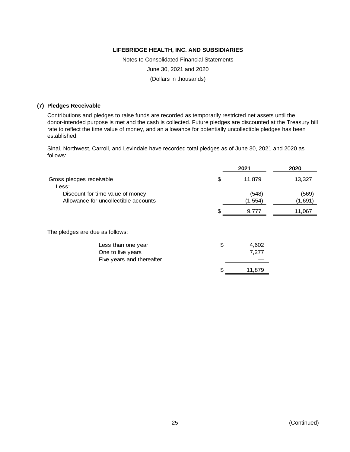Notes to Consolidated Financial Statements June 30, 2021 and 2020 (Dollars in thousands)

# **(7) Pledges Receivable**

Contributions and pledges to raise funds are recorded as temporarily restricted net assets until the donor-intended purpose is met and the cash is collected. Future pledges are discounted at the Treasury bill rate to reflect the time value of money, and an allowance for potentially uncollectible pledges has been established.

Sinai, Northwest, Carroll, and Levindale have recorded total pledges as of June 30, 2021 and 2020 as follows:

|                                      | 2021         | 2020    |
|--------------------------------------|--------------|---------|
| Gross pledges receivable<br>Less:    | \$<br>11,879 | 13,327  |
| Discount for time value of money     | (548)        | (569)   |
|                                      |              |         |
| Allowance for uncollectible accounts | (1, 554)     | (1,691) |
|                                      | \$<br>9,777  | 11,067  |
| The pledges are due as follows:      |              |         |
| Less than one year                   | \$<br>4,602  |         |
| One to five years                    | 7,277        |         |
| Five years and thereafter            |              |         |
|                                      | \$<br>11,879 |         |
|                                      |              |         |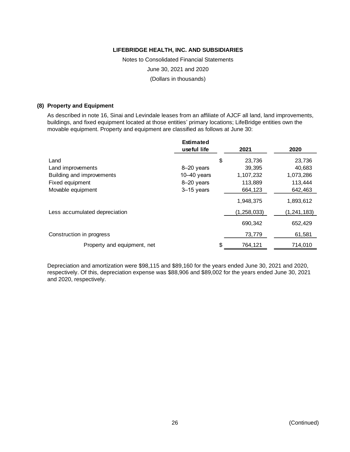Notes to Consolidated Financial Statements June 30, 2021 and 2020 (Dollars in thousands)

# **(8) Property and Equipment**

As described in note 16, Sinai and Levindale leases from an affiliate of AJCF all land, land improvements, buildings, and fixed equipment located at those entities' primary locations; LifeBridge entities own the movable equipment. Property and equipment are classified as follows at June 30:

|                               | <b>Estimated</b><br>useful life | 2021          | 2020          |
|-------------------------------|---------------------------------|---------------|---------------|
| Land                          |                                 | \$<br>23,736  | 23,736        |
| Land improvements             | 8-20 years                      | 39,395        | 40,683        |
| Building and improvements     | $10-40$ years                   | 1,107,232     | 1,073,286     |
| Fixed equipment               | 8-20 years                      | 113,889       | 113,444       |
| Movable equipment             | $3-15$ years                    | 664,123       | 642,463       |
|                               |                                 | 1,948,375     | 1,893,612     |
| Less accumulated depreciation |                                 | (1, 258, 033) | (1, 241, 183) |
|                               |                                 | 690.342       | 652,429       |
| Construction in progress      |                                 | 73,779        | 61,581        |
| Property and equipment, net   |                                 | \$<br>764,121 | 714.010       |

Depreciation and amortization were \$98,115 and \$89,160 for the years ended June 30, 2021 and 2020, respectively. Of this, depreciation expense was \$88,906 and \$89,002 for the years ended June 30, 2021 and 2020, respectively.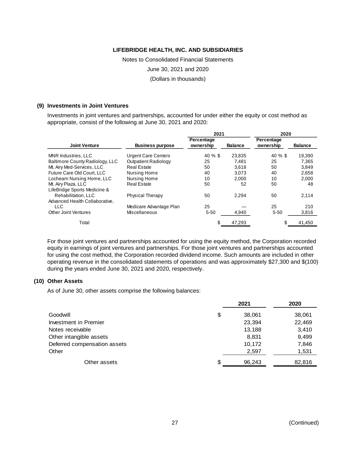Notes to Consolidated Financial Statements June 30, 2021 and 2020 (Dollars in thousands)

# **(9) Investments in Joint Ventures**

Investments in joint ventures and partnerships, accounted for under either the equity or cost method as appropriate, consist of the following at June 30, 2021 and 2020:

|                            | 2021                    |                |                         |                |
|----------------------------|-------------------------|----------------|-------------------------|----------------|
| <b>Business purpose</b>    | Percentage<br>ownership | <b>Balance</b> | Percentage<br>ownership | <b>Balance</b> |
| <b>Urgent Care Centers</b> | 40 % \$                 | 23.835         | 40 % \$                 | 19,390         |
| Outpatient Radiology       | 25                      | 7.481          | 25                      | 7,365          |
| <b>Real Estate</b>         | 50                      | 3,618          | 50                      | 3,849          |
| Nursing Home               | 40                      | 3.073          | 40                      | 2,658          |
| Nursing Home               | 10                      | 2.000          | 10                      | 2.000          |
| <b>Real Estate</b>         | 50                      | 52             | 50                      | 48             |
|                            |                         |                |                         |                |
| <b>Physical Therapy</b>    | 50                      | 2.294          | 50                      | 2,114          |
|                            |                         |                |                         |                |
| Medicare Advantage Plan    | 25                      |                | 25                      | 210            |
| Miscellaneous              | $5 - 50$                | 4.940          | $5 - 50$                | 3,816          |
|                            |                         | 47,293         | \$                      | 41,450         |
|                            |                         |                |                         | 2020           |

For those joint ventures and partnerships accounted for using the equity method, the Corporation recorded equity in earnings of joint ventures and partnerships. For those joint ventures and partnerships accounted for using the cost method, the Corporation recorded dividend income. Such amounts are included in other operating revenue in the consolidated statements of operations and was approximately \$27,300 and \$(100) during the years ended June 30, 2021 and 2020, respectively.

# **(10) Other Assets**

As of June 30, other assets comprise the following balances:

|                              |     | 2021   | 2020   |
|------------------------------|-----|--------|--------|
| Goodwill                     | \$  | 38,061 | 38,061 |
| <b>Investment in Premier</b> |     | 23,394 | 22,469 |
| Notes receivable             |     | 13,188 | 3,410  |
| Other intangible assets      |     | 8,831  | 9,499  |
| Deferred compensation assets |     | 10,172 | 7,846  |
| Other                        |     | 2,597  | 1,531  |
| Other assets                 | \$. | 96,243 | 82,816 |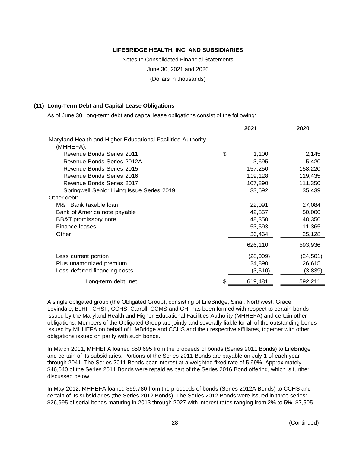Notes to Consolidated Financial Statements

June 30, 2021 and 2020

(Dollars in thousands)

# **(11) Long-Term Debt and Capital Lease Obligations**

As of June 30, long-term debt and capital lease obligations consist of the following:

|                                                                          |    | 2021     | 2020      |
|--------------------------------------------------------------------------|----|----------|-----------|
| Maryland Health and Higher Educational Facilities Authority<br>(MHHEFA): |    |          |           |
| Revenue Bonds Series 2011                                                | \$ | 1,100    | 2,145     |
| Revenue Bonds Series 2012A                                               |    | 3,695    | 5,420     |
| Revenue Bonds Series 2015                                                |    | 157,250  | 158,220   |
| Revenue Bonds Series 2016                                                |    | 119,128  | 119,435   |
| Revenue Bonds Series 2017                                                |    | 107,890  | 111,350   |
| Springwell Senior Living Issue Series 2019                               |    | 33,692   | 35,439    |
| Other debt:                                                              |    |          |           |
| M&T Bank taxable loan                                                    |    | 22,091   | 27,084    |
| Bank of America note payable                                             |    | 42,857   | 50,000    |
| BB&T promissory note                                                     |    | 48,350   | 48,350    |
| Finance leases                                                           |    | 53,593   | 11,365    |
| Other                                                                    |    | 36,464   | 25,128    |
|                                                                          |    | 626,110  | 593,936   |
| Less current portion                                                     |    | (28,009) | (24, 501) |
| Plus unamortized premium                                                 |    | 24,890   | 26,615    |
| Less deferred financing costs                                            |    | (3, 510) | (3,839)   |
| Long-term debt, net                                                      | S  | 619,481  | 592,211   |

A single obligated group (the Obligated Group), consisting of LifeBridge, Sinai, Northwest, Grace, Levindale, BJHF, CHSF, CCHS, Carroll, CCMS and CH, has been formed with respect to certain bonds issued by the Maryland Health and Higher Educational Facilities Authority (MHHEFA) and certain other obligations. Members of the Obligated Group are jointly and severally liable for all of the outstanding bonds issued by MHHEFA on behalf of LifeBridge and CCHS and their respective affiliates, together with other obligations issued on parity with such bonds.

In March 2011, MHHEFA loaned \$50,695 from the proceeds of bonds (Series 2011 Bonds) to LifeBridge and certain of its subsidiaries. Portions of the Series 2011 Bonds are payable on July 1 of each year through 2041. The Series 2011 Bonds bear interest at a weighted fixed rate of 5.99%. Approximately \$46,040 of the Series 2011 Bonds were repaid as part of the Series 2016 Bond offering, which is further discussed below.

In May 2012, MHHEFA loaned \$59,780 from the proceeds of bonds (Series 2012A Bonds) to CCHS and certain of its subsidiaries (the Series 2012 Bonds). The Series 2012 Bonds were issued in three series: \$26,995 of serial bonds maturing in 2013 through 2027 with interest rates ranging from 2% to 5%, \$7,505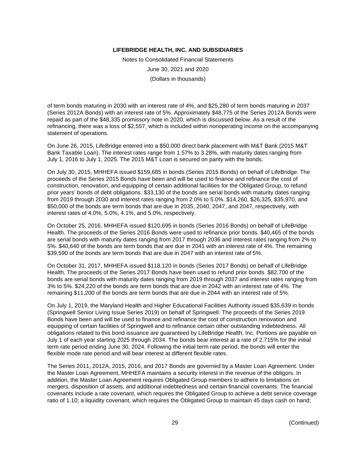Notes to Consolidated Financial Statements June 30, 2021 and 2020 (Dollars in thousands)

of term bonds maturing in 2030 with an interest rate of 4%, and \$25,280 of term bonds maturing in 2037 (Series 2012A Bonds) with an interest rate of 5%. Approximately \$48,775 of the Series 2012A Bonds were repaid as part of the \$48,335 promissory note in 2020, which is discussed below. As a result of the refinancing, there was a loss of \$2,557, which is included within nonoperating income on the accompanying statement of operations.

On June 26, 2015, LifeBridge entered into a \$50,000 direct bank placement with M&T Bank (2015 M&T Bank Taxable Loan). The interest rates range from 1.57% to 3.28%, with maturity dates ranging from July 1, 2016 to July 1, 2025. The 2015 M&T Loan is secured on parity with the bonds.

On July 30, 2015, MHHEFA issued \$159,685 in bonds (Series 2015 Bonds) on behalf of LifeBridge. The proceeds of the Series 2015 Bonds have been and will be used to finance and refinance the cost of construction, renovation, and equipping of certain additional facilities for the Obligated Group, to refund prior years' bonds of debt obligations. \$33,130 of the bonds are serial bonds with maturity dates ranging from 2019 through 2030 and interest rates ranging from 2.0% to 5.0%. \$14,260, \$26,325, \$35,970, and \$50,000 of the bonds are term bonds that are due in 2035, 2040, 2047, and 2047, respectively, with interest rates of 4.0%, 5.0%, 4.1%, and 5.0%, respectively.

On October 25, 2016, MHHEFA issued \$120,695 in bonds (Series 2016 Bonds) on behalf of LifeBridge Health. The proceeds of the Series 2016 Bonds were used to refinance prior bonds. \$40,465 of the bonds are serial bonds with maturity dates ranging from 2017 through 2036 and interest rates ranging from 2% to 5%. \$40,640 of the bonds are term bonds that are due in 2041 with an interest rate of 4%. The remaining \$39,590 of the bonds are term bonds that are due in 2047 with an interest rate of 5%.

On October 31, 2017, MHHEFA issued \$118,120 in bonds (Series 2017 Bonds) on behalf of LifeBridge Health. The proceeds of the Series 2017 Bonds have been used to refund prior bonds. \$82,700 of the bonds are serial bonds with maturity dates ranging from 2019 through 2037 and interest rates ranging from 3% to 5%. \$24,220 of the bonds are term bonds that are due in 2042 with an interest rate of 4%. The remaining \$11,200 of the bonds are term bonds that are due in 2044 with an interest rate of 5%.

On July 1, 2019, the Maryland Health and Higher Educational Facilities Authority issued \$35,639 in bonds (Springwell Senior Living Issue Series 2019) on behalf of Springwell. The proceeds of the Series 2019 Bonds have been and will be used to finance and refinance the cost of construction renovation and equipping of certain facilities of Springwell and to refinance certain other outstanding indebtedness. All obligations related to this bond issuance are guaranteed by LifeBridge Health, Inc. Portions are payable on July 1 of each year starting 2025 through 2034. The bonds bear interest at a rate of 2.715% for the initial term rate period ending June 30, 2024. Following the initial term rate period, the bonds will enter the flexible mode rate period and will bear interest at different flexible rates.

The Series 2011, 2012A, 2015, 2016, and 2017 Bonds are governed by a Master Loan Agreement. Under the Master Loan Agreement, MHHEFA maintains a security interest in the revenue of the obligors. In addition, the Master Loan Agreement requires Obligated Group members to adhere to limitations on mergers, disposition of assets, and additional indebtedness and certain financial covenants. The financial covenants include a rate covenant, which requires the Obligated Group to achieve a debt service coverage ratio of 1.10; a liquidity covenant, which requires the Obligated Group to maintain 45 days cash on hand;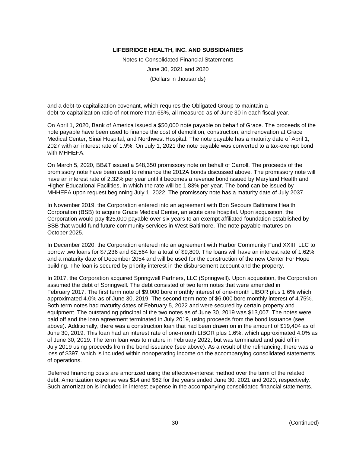Notes to Consolidated Financial Statements June 30, 2021 and 2020 (Dollars in thousands)

and a debt-to-capitalization covenant, which requires the Obligated Group to maintain a debt-to-capitalization ratio of not more than 65%, all measured as of June 30 in each fiscal year.

On April 1, 2020, Bank of America issued a \$50,000 note payable on behalf of Grace. The proceeds of the note payable have been used to finance the cost of demolition, construction, and renovation at Grace Medical Center, Sinai Hospital, and Northwest Hospital. The note payable has a maturity date of April 1, 2027 with an interest rate of 1.9%. On July 1, 2021 the note payable was converted to a tax-exempt bond with MHHEFA.

On March 5, 2020, BB&T issued a \$48,350 promissory note on behalf of Carroll. The proceeds of the promissory note have been used to refinance the 2012A bonds discussed above. The promissory note will have an interest rate of 2.32% per year until it becomes a revenue bond issued by Maryland Health and Higher Educational Facilities, in which the rate will be 1.83% per year. The bond can be issued by MHHEFA upon request beginning July 1, 2022. The promissory note has a maturity date of July 2037.

In November 2019, the Corporation entered into an agreement with Bon Secours Baltimore Health Corporation (BSB) to acquire Grace Medical Center, an acute care hospital. Upon acquisition, the Corporation would pay \$25,000 payable over six years to an exempt affiliated foundation established by BSB that would fund future community services in West Baltimore. The note payable matures on October 2025.

In December 2020, the Corporation entered into an agreement with Harbor Community Fund XXIII, LLC to borrow two loans for \$7,236 and \$2,564 for a total of \$9,800. The loans will have an interest rate of 1.62% and a maturity date of December 2054 and will be used for the construction of the new Center For Hope building. The loan is secured by priority interest in the disbursement account and the property.

In 2017, the Corporation acquired Springwell Partners, LLC (Springwell). Upon acquisition, the Corporation assumed the debt of Springwell. The debt consisted of two term notes that were amended in February 2017. The first term note of \$9,000 bore monthly interest of one-month LIBOR plus 1.6% which approximated 4.0% as of June 30, 2019. The second term note of \$6,000 bore monthly interest of 4.75%. Both term notes had maturity dates of February 5, 2022 and were secured by certain property and equipment. The outstanding principal of the two notes as of June 30, 2019 was \$13,007. The notes were paid off and the loan agreement terminated in July 2019, using proceeds from the bond issuance (see above). Additionally, there was a construction loan that had been drawn on in the amount of \$19,404 as of June 30, 2019. This loan had an interest rate of one-month LIBOR plus 1.6%, which approximated 4.0% as of June 30, 2019. The term loan was to mature in February 2022, but was terminated and paid off in July 2019 using proceeds from the bond issuance (see above). As a result of the refinancing, there was a loss of \$397, which is included within nonoperating income on the accompanying consolidated statements of operations.

Deferred financing costs are amortized using the effective-interest method over the term of the related debt. Amortization expense was \$14 and \$62 for the years ended June 30, 2021 and 2020, respectively. Such amortization is included in interest expense in the accompanying consolidated financial statements.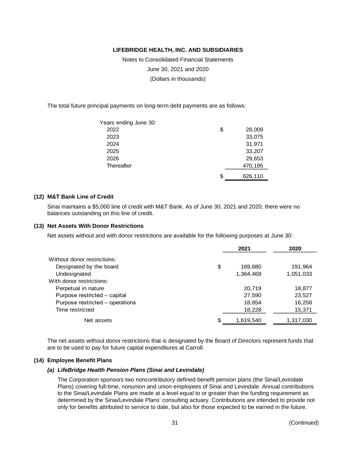Notes to Consolidated Financial Statements June 30, 2021 and 2020 (Dollars in thousands)

The total future principal payments on long-term debt payments are as follows:

| Years ending June 30: |    |         |
|-----------------------|----|---------|
| 2022                  | \$ | 28,009  |
| 2023                  |    | 33,075  |
| 2024                  |    | 31,971  |
| 2025                  |    | 33,207  |
| 2026                  |    | 29,653  |
| Thereafter            |    | 470,195 |
|                       | S  | 626,110 |

# **(12) M&T Bank Line of Credit**

Sinai maintains a \$5,000 line of credit with M&T Bank. As of June 30, 2021 and 2020, there were no balances outstanding on this line of credit.

# **(13) Net Assets With Donor Restrictions**

Net assets without and with donor restrictions are available for the following purposes at June 30:

|                                 | 2021          | 2020      |
|---------------------------------|---------------|-----------|
| Without donor restrictions:     |               |           |
| Designated by the board         | \$<br>169,680 | 191,964   |
| Undesignated                    | 1,364,469     | 1,051,033 |
| With donor restrictions:        |               |           |
| Perpetual in nature             | 20,719        | 18,877    |
| Purpose restricted - capital    | 27,590        | 23,527    |
| Purpose restricted – operations | 18,854        | 16,258    |
| Time restricted                 | 18,228        | 15,371    |
| Net assets                      | 1,619,540     | 1,317,030 |

The net assets without donor restrictions that is designated by the Board of Directors represent funds that are to be used to pay for future capital expenditures at Carroll.

# **(14) Employee Benefit Plans**

# *(a) LifeBridge Health Pension Plans (Sinai and Levindale)*

The Corporation sponsors two noncontributory defined-benefit pension plans (the Sinai/Levindale Plans) covering full-time, nonunion and union employees of Sinai and Levindale. Annual contributions to the Sinai/Levindale Plans are made at a level equal to or greater than the funding requirement as determined by the Sinai/Levindale Plans' consulting actuary. Contributions are intended to provide not only for benefits attributed to service to date, but also for those expected to be earned in the future.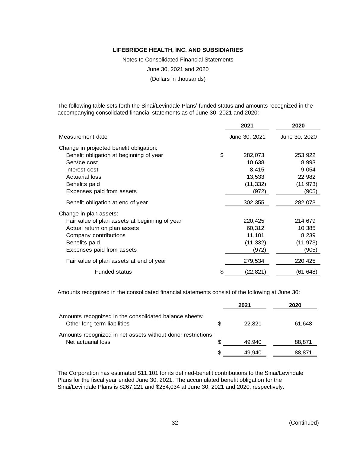Notes to Consolidated Financial Statements

June 30, 2021 and 2020

(Dollars in thousands)

The following table sets forth the Sinai/Levindale Plans' funded status and amounts recognized in the accompanying consolidated financial statements as of June 30, 2021 and 2020:

|                                                | 2021          | 2020          |
|------------------------------------------------|---------------|---------------|
| Measurement date                               | June 30, 2021 | June 30, 2020 |
| Change in projected benefit obligation:        |               |               |
| \$<br>Benefit obligation at beginning of year  | 282,073       | 253,922       |
| Service cost                                   | 10,638        | 8,993         |
| Interest cost                                  | 8,415         | 9,054         |
| Actuarial loss                                 | 13,533        | 22,982        |
| Benefits paid                                  | (11, 332)     | (11, 973)     |
| Expenses paid from assets                      | (972)         | (905)         |
| Benefit obligation at end of year              | 302,355       | 282,073       |
| Change in plan assets:                         |               |               |
| Fair value of plan assets at beginning of year | 220,425       | 214,679       |
| Actual return on plan assets                   | 60,312        | 10,385        |
| Company contributions                          | 11,101        | 8,239         |
| Benefits paid                                  | (11, 332)     | (11, 973)     |
| Expenses paid from assets                      | (972)         | (905)         |
| Fair value of plan assets at end of year       | 279,534       | 220,425       |
| <b>Funded status</b><br>S                      | (22,821)      | (61,648)      |

Amounts recognized in the consolidated financial statements consist of the following at June 30:

|                                                                                       |   | 2021   | 2020   |
|---------------------------------------------------------------------------------------|---|--------|--------|
| Amounts recognized in the consolidated balance sheets:<br>Other long-term liabilities | S | 22.821 | 61.648 |
| Amounts recognized in net assets without donor restrictions:                          |   |        |        |
| Net actuarial loss                                                                    |   | 49.940 | 88,871 |
|                                                                                       |   | 49.940 | 88,871 |

The Corporation has estimated \$11,101 for its defined-benefit contributions to the Sinai/Levindale Plans for the fiscal year ended June 30, 2021. The accumulated benefit obligation for the Sinai/Levindale Plans is \$267,221 and \$254,034 at June 30, 2021 and 2020, respectively.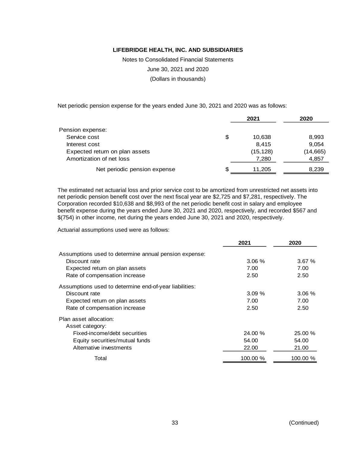Notes to Consolidated Financial Statements June 30, 2021 and 2020 (Dollars in thousands)

Net periodic pension expense for the years ended June 30, 2021 and 2020 was as follows:

|                                | 2021         | 2020      |
|--------------------------------|--------------|-----------|
| Pension expense:               |              |           |
| Service cost                   | \$<br>10,638 | 8,993     |
| Interest cost                  | 8.415        | 9,054     |
| Expected return on plan assets | (15, 128)    | (14, 665) |
| Amortization of net loss       | 7,280        | 4,857     |
| Net periodic pension expense   | \$<br>11.205 | 8,239     |

The estimated net actuarial loss and prior service cost to be amortized from unrestricted net assets into net periodic pension benefit cost over the next fiscal year are \$2,725 and \$7,281, respectively. The Corporation recorded \$10,638 and \$8,993 of the net periodic benefit cost in salary and employee benefit expense during the years ended June 30, 2021 and 2020, respectively, and recorded \$567 and \$(754) in other income, net during the years ended June 30, 2021 and 2020, respectively.

Actuarial assumptions used were as follows:

|                                                        | 2021     | 2020     |
|--------------------------------------------------------|----------|----------|
| Assumptions used to determine annual pension expense:  |          |          |
| Discount rate                                          | $3.06\%$ | 3.67%    |
| Expected return on plan assets                         | 7.00     | 7.00     |
| Rate of compensation increase                          | 2.50     | 2.50     |
| Assumptions used to determine end-of-year liabilities: |          |          |
| Discount rate                                          | $3.09\%$ | 3.06%    |
| Expected return on plan assets                         | 7.00     | 7.00     |
| Rate of compensation increase                          | 2.50     | 2.50     |
| Plan asset allocation:                                 |          |          |
| Asset category:                                        |          |          |
| Fixed-income/debt securities                           | 24.00 %  | 25.00%   |
| Equity securities/mutual funds                         | 54.00    | 54.00    |
| Alternative investments                                | 22.00    | 21.00    |
| Total                                                  | 100.00 % | 100.00 % |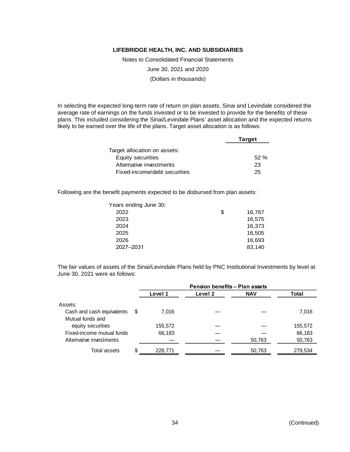Notes to Consolidated Financial Statements June 30, 2021 and 2020 (Dollars in thousands)

In selecting the expected long-term rate of return on plan assets, Sinai and Levindale considered the average rate of earnings on the funds invested or to be invested to provide for the benefits of these plans. This included considering the Sinai/Levindale Plans' asset allocation and the expected returns likely to be earned over the life of the plans. Target asset allocation is as follows:

|                              | <b>Target</b> |
|------------------------------|---------------|
| Target allocation on assets: |               |
| Equity securities            | 52%           |
| Alternative investments      | 23            |
| Fixed-income/debt securities | 25            |

Following are the benefit payments expected to be disbursed from plan assets:

| Years ending June 30: |              |
|-----------------------|--------------|
| 2022                  | \$<br>16,767 |
| 2023                  | 16,575       |
| 2024                  | 16,373       |
| 2025                  | 16,505       |
| 2026                  | 16,693       |
| 2027-2031             | 83,140       |
|                       |              |

The fair values of assets of the Sinai/Levindale Plans held by PNC Institutional Investments by level at June 30, 2021 were as follows:

|                              | <b>Pension benefits - Plan assets</b> |         |         |            |         |
|------------------------------|---------------------------------------|---------|---------|------------|---------|
|                              |                                       | Level 1 | Level 2 | <b>NAV</b> | Total   |
| Assets:                      |                                       |         |         |            |         |
| Cash and cash equivalents \$ |                                       | 7.016   |         |            | 7.016   |
| Mutual funds and             |                                       |         |         |            |         |
| equity securities            |                                       | 155,572 |         |            | 155,572 |
| Fixed-income mutual funds    |                                       | 66,183  |         |            | 66,183  |
| Alternative investments      |                                       |         |         | 50,763     | 50,763  |
| Total assets                 | \$                                    | 228,771 |         | 50,763     | 279,534 |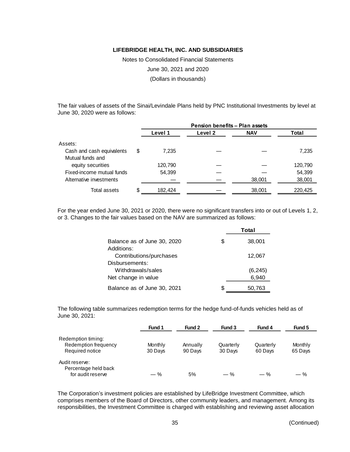Notes to Consolidated Financial Statements June 30, 2021 and 2020 (Dollars in thousands)

The fair values of assets of the Sinai/Levindale Plans held by PNC Institutional Investments by level at June 30, 2020 were as follows:

|                                               |   | Pension benefits - Plan assets |         |            |         |
|-----------------------------------------------|---|--------------------------------|---------|------------|---------|
|                                               |   | Level 1                        | Level 2 | <b>NAV</b> | Total   |
| Assets:                                       |   |                                |         |            |         |
| Cash and cash equivalents<br>Mutual funds and | S | 7,235                          |         |            | 7,235   |
| equity securities                             |   | 120,790                        |         |            | 120,790 |
| Fixed-income mutual funds                     |   | 54,399                         |         |            | 54,399  |
| Alternative investments                       |   |                                |         | 38,001     | 38,001  |
| Total assets                                  | S | 182,424                        |         | 38,001     | 220,425 |

For the year ended June 30, 2021 or 2020, there were no significant transfers into or out of Levels 1, 2, or 3. Changes to the fair values based on the NAV are summarized as follows:

|   | Total             |
|---|-------------------|
| S | 38,001            |
|   | 12,067            |
|   | (6, 245)<br>6,940 |
| Я | 50,763            |
|   |                   |

The following table summarizes redemption terms for the hedge fund-of-funds vehicles held as of June 30, 2021:

|                      | Fund 1  | Fund 2   | Fund 3    | Fund 4    | Fund 5  |
|----------------------|---------|----------|-----------|-----------|---------|
| Redemption timing:   |         |          |           |           |         |
| Redemption frequency | Monthly | Annually | Quarterly | Quarterly | Monthly |
| Required notice      | 30 Days | 90 Days  | 30 Days   | 60 Days   | 65 Days |
| Audit reserve:       |         |          |           |           |         |
| Percentage held back |         |          |           |           |         |
| for audit reserve    | $-$ %   | 5%       | $-$ %     | $-$ %     | $-$ %   |

The Corporation's investment policies are established by LifeBridge Investment Committee, which comprises members of the Board of Directors, other community leaders, and management. Among its responsibilities, the Investment Committee is charged with establishing and reviewing asset allocation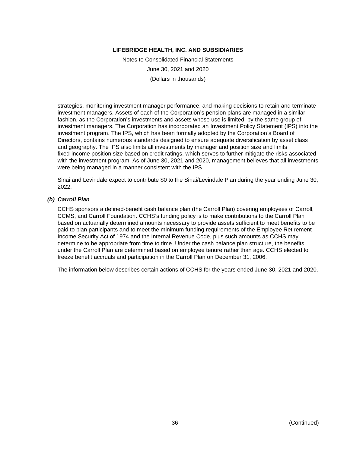Notes to Consolidated Financial Statements June 30, 2021 and 2020 (Dollars in thousands)

strategies, monitoring investment manager performance, and making decisions to retain and terminate investment managers. Assets of each of the Corporation's pension plans are managed in a similar fashion, as the Corporation's investments and assets whose use is limited, by the same group of investment managers. The Corporation has incorporated an Investment Policy Statement (IPS) into the investment program. The IPS, which has been formally adopted by the Corporation's Board of Directors, contains numerous standards designed to ensure adequate diversification by asset class and geography. The IPS also limits all investments by manager and position size and limits fixed-income position size based on credit ratings, which serves to further mitigate the risks associated with the investment program. As of June 30, 2021 and 2020, management believes that all investments were being managed in a manner consistent with the IPS.

Sinai and Levindale expect to contribute \$0 to the Sinai/Levindale Plan during the year ending June 30, 2022.

# *(b) Carroll Plan*

CCHS sponsors a defined-benefit cash balance plan (the Carroll Plan) covering employees of Carroll, CCMS, and Carroll Foundation. CCHS's funding policy is to make contributions to the Carroll Plan based on actuarially determined amounts necessary to provide assets sufficient to meet benefits to be paid to plan participants and to meet the minimum funding requirements of the Employee Retirement Income Security Act of 1974 and the Internal Revenue Code, plus such amounts as CCHS may determine to be appropriate from time to time. Under the cash balance plan structure, the benefits under the Carroll Plan are determined based on employee tenure rather than age. CCHS elected to freeze benefit accruals and participation in the Carroll Plan on December 31, 2006.

The information below describes certain actions of CCHS for the years ended June 30, 2021 and 2020.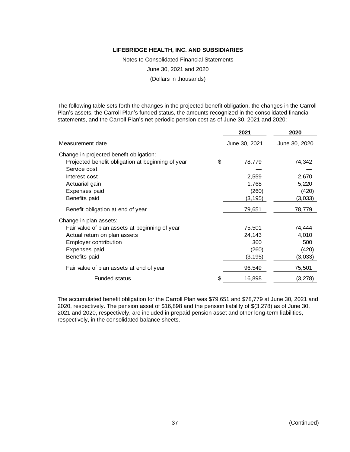Notes to Consolidated Financial Statements

June 30, 2021 and 2020

(Dollars in thousands)

The following table sets forth the changes in the projected benefit obligation, the changes in the Carroll Plan's assets, the Carroll Plan's funded status, the amounts recognized in the consolidated financial statements, and the Carroll Plan's net periodic pension cost as of June 30, 2021 and 2020:

|                                                   | 2021          | 2020          |
|---------------------------------------------------|---------------|---------------|
| Measurement date                                  | June 30, 2021 | June 30, 2020 |
| Change in projected benefit obligation:           |               |               |
| Projected benefit obligation at beginning of year | \$<br>78,779  | 74,342        |
| Service cost                                      |               |               |
| Interest cost                                     | 2,559         | 2,670         |
| Actuarial gain                                    | 1,768         | 5,220         |
| Expenses paid                                     | (260)         | (420)         |
| Benefits paid                                     | (3, 195)      | (3,033)       |
| Benefit obligation at end of year                 | 79,651        | 78,779        |
| Change in plan assets:                            |               |               |
| Fair value of plan assets at beginning of year    | 75,501        | 74,444        |
| Actual return on plan assets                      | 24,143        | 4,010         |
| <b>Employer contribution</b>                      | 360           | 500           |
| Expenses paid                                     | (260)         | (420)         |
| Benefits paid                                     | (3, 195)      | (3,033)       |
| Fair value of plan assets at end of year          | 96,549        | 75,501        |
| <b>Funded status</b>                              | \$<br>16,898  | (3,278)       |

The accumulated benefit obligation for the Carroll Plan was \$79,651 and \$78,779 at June 30, 2021 and 2020, respectively. The pension asset of \$16,898 and the pension liability of \$(3,278) as of June 30, 2021 and 2020, respectively, are included in prepaid pension asset and other long-term liabilities, respectively, in the consolidated balance sheets.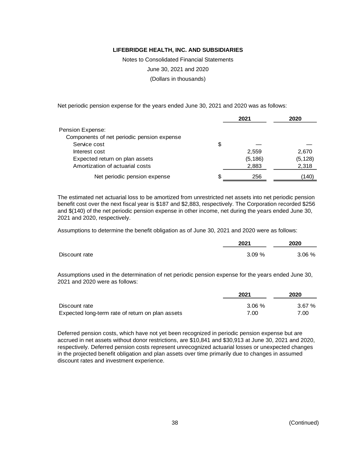Notes to Consolidated Financial Statements June 30, 2021 and 2020 (Dollars in thousands)

Net periodic pension expense for the years ended June 30, 2021 and 2020 was as follows:

|                                            |    | 2021     | 2020     |
|--------------------------------------------|----|----------|----------|
| Pension Expense:                           |    |          |          |
| Components of net periodic pension expense |    |          |          |
| Service cost                               | \$ |          |          |
| Interest cost                              |    | 2,559    | 2,670    |
| Expected return on plan assets             |    | (5, 186) | (5, 128) |
| Amortization of actuarial costs            |    | 2,883    | 2,318    |
| Net periodic pension expense               | S  | 256      | (140)    |

The estimated net actuarial loss to be amortized from unrestricted net assets into net periodic pension benefit cost over the next fiscal year is \$187 and \$2,883, respectively. The Corporation recorded \$256 and \$(140) of the net periodic pension expense in other income, net during the years ended June 30, 2021 and 2020, respectively.

Assumptions to determine the benefit obligation as of June 30, 2021 and 2020 were as follows:

|               | 2021  | 2020  |  |
|---------------|-------|-------|--|
| Discount rate | 3.09% | 3.06% |  |

Assumptions used in the determination of net periodic pension expense for the years ended June 30, 2021 and 2020 were as follows:

|                                                  | 2021     | 2020     |
|--------------------------------------------------|----------|----------|
| Discount rate                                    | $3.06\%$ | $3.67\%$ |
| Expected long-term rate of return on plan assets | 7.00     | 7.00     |

Deferred pension costs, which have not yet been recognized in periodic pension expense but are accrued in net assets without donor restrictions, are \$10,841 and \$30,913 at June 30, 2021 and 2020, respectively. Deferred pension costs represent unrecognized actuarial losses or unexpected changes in the projected benefit obligation and plan assets over time primarily due to changes in assumed discount rates and investment experience.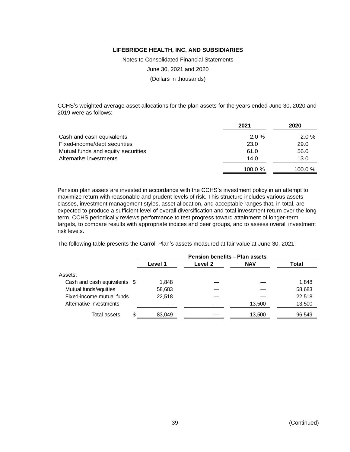Notes to Consolidated Financial Statements June 30, 2021 and 2020 (Dollars in thousands)

CCHS's weighted average asset allocations for the plan assets for the years ended June 30, 2020 and 2019 were as follows:

|                                    | 2021     | 2020     |
|------------------------------------|----------|----------|
| Cash and cash equivalents          | $2.0 \%$ | $2.0 \%$ |
| Fixed-income/debt securities       | 23.0     | 29.0     |
| Mutual funds and equity securities | 61.0     | 56.0     |
| Alternative investments            | 14.0     | 13.0     |
|                                    | 100.0%   | 100.0%   |

Pension plan assets are invested in accordance with the CCHS's investment policy in an attempt to maximize return with reasonable and prudent levels of risk. This structure includes various assets classes, investment management styles, asset allocation, and acceptable ranges that, in total, are expected to produce a sufficient level of overall diversification and total investment return over the long term. CCHS periodically reviews performance to test progress toward attainment of longer-term targets, to compare results with appropriate indices and peer groups, and to assess overall investment risk levels.

The following table presents the Carroll Plan's assets measured at fair value at June 30, 2021:

|                              | Pension benefits - Plan assets |         |            |        |
|------------------------------|--------------------------------|---------|------------|--------|
|                              | Level 1                        | Level 2 | <b>NAV</b> | Total  |
| Assets:                      |                                |         |            |        |
| Cash and cash equivalents \$ | 1,848                          |         |            | 1,848  |
| Mutual funds/equities        | 58,683                         |         |            | 58,683 |
| Fixed-income mutual funds    | 22,518                         |         |            | 22,518 |
| Alternative investments      |                                |         | 13,500     | 13,500 |
| <b>Total assets</b>          | 83,049                         |         | 13,500     | 96,549 |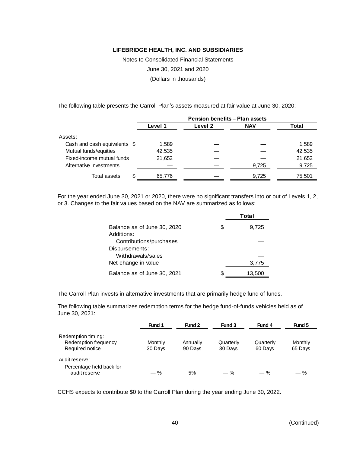Notes to Consolidated Financial Statements June 30, 2021 and 2020 (Dollars in thousands)

The following table presents the Carroll Plan's assets measured at fair value at June 30, 2020:

|                              |              | <b>Pension benefits - Plan assets</b> |            |        |  |
|------------------------------|--------------|---------------------------------------|------------|--------|--|
|                              | Level 1      | Level 2                               | <b>NAV</b> | Total  |  |
| Assets:                      |              |                                       |            |        |  |
| Cash and cash equivalents \$ | 1,589        |                                       |            | 1,589  |  |
| Mutual funds/equities        | 42,535       |                                       |            | 42,535 |  |
| Fixed-income mutual funds    | 21,652       |                                       |            | 21,652 |  |
| Alternative investments      |              |                                       | 9,725      | 9,725  |  |
| Total assets                 | S.<br>65,776 |                                       | 9,725      | 75,501 |  |

For the year ended June 30, 2021 or 2020, there were no significant transfers into or out of Levels 1, 2, or 3. Changes to the fair values based on the NAV are summarized as follows:

|                                           |   | Total  |
|-------------------------------------------|---|--------|
| Balance as of June 30, 2020<br>Additions: | S | 9,725  |
| Contributions/purchases                   |   |        |
| Disbursements:                            |   |        |
| Withdrawals/sales                         |   |        |
| Net change in value                       |   | 3,775  |
| Balance as of June 30, 2021               | S | 13,500 |

The Carroll Plan invests in alternative investments that are primarily hedge fund of funds.

The following table summarizes redemption terms for the hedge fund-of-funds vehicles held as of June 30, 2021:

|                                           | Fund 1  | Fund 2   | Fund 3    | Fund 4    | Fund 5  |
|-------------------------------------------|---------|----------|-----------|-----------|---------|
| Redemption timing:                        |         |          |           |           |         |
| Redemption frequency                      | Monthly | Annually | Quarterly | Quarterly | Monthly |
| Required notice                           | 30 Days | 90 Days  | 30 Days   | 60 Days   | 65 Days |
| Audit reserve:                            |         |          |           |           |         |
| Percentage held back for<br>audit reserve | $-$ %   | 5%       | $-$ %     | $-$ %     | $-$ %   |

CCHS expects to contribute \$0 to the Carroll Plan during the year ending June 30, 2022.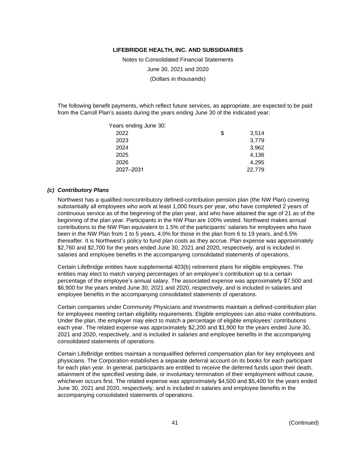Notes to Consolidated Financial Statements

June 30, 2021 and 2020

(Dollars in thousands)

The following benefit payments, which reflect future services, as appropriate, are expected to be paid from the Carroll Plan's assets during the years ending June 30 of the indicated year:

| Years ending June 30: |   |        |
|-----------------------|---|--------|
| 2022                  | S | 3,514  |
| 2023                  |   | 3,779  |
| 2024                  |   | 3,962  |
| 2025                  |   | 4,136  |
| 2026                  |   | 4,295  |
| 2027-2031             |   | 22,779 |
|                       |   |        |

# *(c) Contributory Plans*

Northwest has a qualified noncontributory defined-contribution pension plan (the NW Plan) covering substantially all employees who work at least 1,000 hours per year, who have completed 2 years of continuous service as of the beginning of the plan year, and who have attained the age of 21 as of the beginning of the plan year. Participants in the NW Plan are 100% vested. Northwest makes annual contributions to the NW Plan equivalent to 1.5% of the participants' salaries for employees who have been in the NW Plan from 1 to 5 years, 4.0% for those in the plan from 6 to 19 years, and 6.5% thereafter. It is Northwest's policy to fund plan costs as they accrue. Plan expense was approximately \$2,760 and \$2,700 for the years ended June 30, 2021 and 2020, respectively, and is included in salaries and employee benefits in the accompanying consolidated statements of operations.

Certain LifeBridge entities have supplemental 403(b) retirement plans for eligible employees. The entities may elect to match varying percentages of an employee's contribution up to a certain percentage of the employee's annual salary. The associated expense was approximately \$7,500 and \$6,900 for the years ended June 30, 2021 and 2020, respectively, and is included in salaries and employee benefits in the accompanying consolidated statements of operations.

Certain companies under Community Physicians and Investments maintain a defined-contribution plan for employees meeting certain eligibility requirements. Eligible employees can also make contributions. Under the plan, the employer may elect to match a percentage of eligible employees' contributions each year. The related expense was approximately \$2,200 and \$1,900 for the years ended June 30, 2021 and 2020, respectively, and is included in salaries and employee benefits in the accompanying consolidated statements of operations.

Certain LifeBridge entities maintain a nonqualified deferred compensation plan for key employees and physicians. The Corporation establishes a separate deferral account on its books for each participant for each plan year. In general, participants are entitled to receive the deferred funds upon their death, attainment of the specified vesting date, or involuntary termination of their employment without cause, whichever occurs first. The related expense was approximately \$4,500 and \$5,400 for the years ended June 30, 2021 and 2020, respectively, and is included in salaries and employee benefits in the accompanying consolidated statements of operations.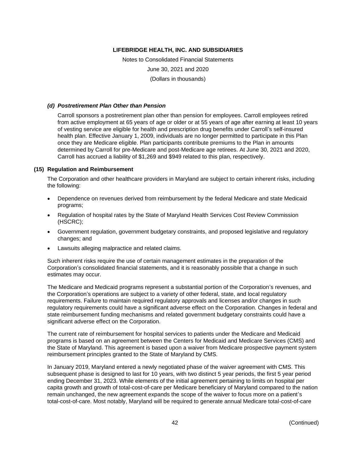Notes to Consolidated Financial Statements June 30, 2021 and 2020 (Dollars in thousands)

# *(d) Postretirement Plan Other than Pension*

Carroll sponsors a postretirement plan other than pension for employees. Carroll employees retired from active employment at 65 years of age or older or at 55 years of age after earning at least 10 years of vesting service are eligible for health and prescription drug benefits under Carroll's self-insured health plan. Effective January 1, 2009, individuals are no longer permitted to participate in this Plan once they are Medicare eligible. Plan participants contribute premiums to the Plan in amounts determined by Carroll for pre-Medicare and post-Medicare age retirees. At June 30, 2021 and 2020, Carroll has accrued a liability of \$1,269 and \$949 related to this plan, respectively.

# **(15) Regulation and Reimbursement**

The Corporation and other healthcare providers in Maryland are subject to certain inherent risks, including the following:

- Dependence on revenues derived from reimbursement by the federal Medicare and state Medicaid programs;
- Regulation of hospital rates by the State of Maryland Health Services Cost Review Commission (HSCRC);
- Government regulation, government budgetary constraints, and proposed legislative and regulatory changes; and
- Lawsuits alleging malpractice and related claims.

Such inherent risks require the use of certain management estimates in the preparation of the Corporation's consolidated financial statements, and it is reasonably possible that a change in such estimates may occur.

The Medicare and Medicaid programs represent a substantial portion of the Corporation's revenues, and the Corporation's operations are subject to a variety of other federal, state, and local regulatory requirements. Failure to maintain required regulatory approvals and licenses and/or changes in such regulatory requirements could have a significant adverse effect on the Corporation. Changes in federal and state reimbursement funding mechanisms and related government budgetary constraints could have a significant adverse effect on the Corporation.

The current rate of reimbursement for hospital services to patients under the Medicare and Medicaid programs is based on an agreement between the Centers for Medicaid and Medicare Services (CMS) and the State of Maryland. This agreement is based upon a waiver from Medicare prospective payment system reimbursement principles granted to the State of Maryland by CMS.

In January 2019, Maryland entered a newly negotiated phase of the waiver agreement with CMS. This subsequent phase is designed to last for 10 years, with two distinct 5 year periods, the first 5 year period ending December 31, 2023. While elements of the initial agreement pertaining to limits on hospital per capita growth and growth of total-cost-of-care per Medicare beneficiary of Maryland compared to the nation remain unchanged, the new agreement expands the scope of the waiver to focus more on a patient's total-cost-of-care. Most notably, Maryland will be required to generate annual Medicare total-cost-of-care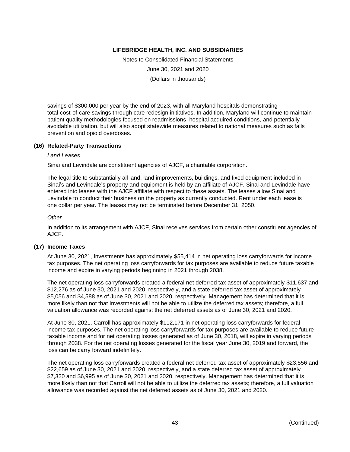Notes to Consolidated Financial Statements June 30, 2021 and 2020 (Dollars in thousands)

savings of \$300,000 per year by the end of 2023, with all Maryland hospitals demonstrating total-cost-of-care savings through care redesign initiatives. In addition, Maryland will continue to maintain patient quality methodologies focused on readmissions, hospital acquired conditions, and potentially avoidable utilization, but will also adopt statewide measures related to national measures such as falls prevention and opioid overdoses.

# **(16) Related-Party Transactions**

# *Land Leases*

Sinai and Levindale are constituent agencies of AJCF, a charitable corporation.

The legal title to substantially all land, land improvements, buildings, and fixed equipment included in Sinai's and Levindale's property and equipment is held by an affiliate of AJCF. Sinai and Levindale have entered into leases with the AJCF affiliate with respect to these assets. The leases allow Sinai and Levindale to conduct their business on the property as currently conducted. Rent under each lease is one dollar per year. The leases may not be terminated before December 31, 2050.

# *Other*

In addition to its arrangement with AJCF, Sinai receives services from certain other constituent agencies of AJCF.

# **(17) Income Taxes**

At June 30, 2021, Investments has approximately \$55,414 in net operating loss carryforwards for income tax purposes. The net operating loss carryforwards for tax purposes are available to reduce future taxable income and expire in varying periods beginning in 2021 through 2038.

The net operating loss carryforwards created a federal net deferred tax asset of approximately \$11,637 and \$12,276 as of June 30, 2021 and 2020, respectively, and a state deferred tax asset of approximately \$5,056 and \$4,588 as of June 30, 2021 and 2020, respectively. Management has determined that it is more likely than not that Investments will not be able to utilize the deferred tax assets; therefore, a full valuation allowance was recorded against the net deferred assets as of June 30, 2021 and 2020.

At June 30, 2021, Carroll has approximately \$112,171 in net operating loss carryforwards for federal income tax purposes. The net operating loss carryforwards for tax purposes are available to reduce future taxable income and for net operating losses generated as of June 30, 2018, will expire in varying periods through 2038. For the net operating losses generated for the fiscal year June 30, 2019 and forward, the loss can be carry forward indefinitely.

The net operating loss carryforwards created a federal net deferred tax asset of approximately \$23,556 and \$22,659 as of June 30, 2021 and 2020, respectively, and a state deferred tax asset of approximately \$7,320 and \$6,995 as of June 30, 2021 and 2020, respectively. Management has determined that it is more likely than not that Carroll will not be able to utilize the deferred tax assets; therefore, a full valuation allowance was recorded against the net deferred assets as of June 30, 2021 and 2020.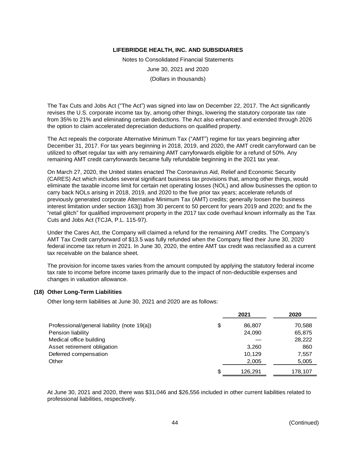Notes to Consolidated Financial Statements June 30, 2021 and 2020 (Dollars in thousands)

The Tax Cuts and Jobs Act ("The Act") was signed into law on December 22, 2017. The Act significantly revises the U.S. corporate income tax by, among other things, lowering the statutory corporate tax rate from 35% to 21% and eliminating certain deductions. The Act also enhanced and extended through 2026 the option to claim accelerated depreciation deductions on qualified property.

The Act repeals the corporate Alternative Minimum Tax ("AMT") regime for tax years beginning after December 31, 2017. For tax years beginning in 2018, 2019, and 2020, the AMT credit carryforward can be utilized to offset regular tax with any remaining AMT carryforwards eligible for a refund of 50%. Any remaining AMT credit carryforwards became fully refundable beginning in the 2021 tax year.

On March 27, 2020, the United states enacted The Coronavirus Aid, Relief and Economic Security (CARES) Act which includes several significant business tax provisions that, among other things, would eliminate the taxable income limit for certain net operating losses (NOL) and allow businesses the option to carry back NOLs arising in 2018, 2019, and 2020 to the five prior tax years; accelerate refunds of previously generated corporate Alternative Minimum Tax (AMT) credits; generally loosen the business interest limitation under section 163(j) from 30 percent to 50 percent for years 2019 and 2020; and fix the "retail glitch" for qualified improvement property in the 2017 tax code overhaul known informally as the Tax Cuts and Jobs Act (TCJA, P.L. 115-97).

Under the Cares Act, the Company will claimed a refund for the remaining AMT credits. The Company's AMT Tax Credit carryforward of \$13.5 was fully refunded when the Company filed their June 30, 2020 federal income tax return in 2021. In June 30, 2020, the entire AMT tax credit was reclassified as a current tax receivable on the balance sheet.

The provision for income taxes varies from the amount computed by applying the statutory federal income tax rate to income before income taxes primarily due to the impact of non-deductible expenses and changes in valuation allowance.

# **(18) Other Long-Term Liabilities**

Other long-term liabilities at June 30, 2021 and 2020 are as follows:

|                                             |    | 2021    | 2020    |
|---------------------------------------------|----|---------|---------|
| Professional/general liability (note 19(a)) | \$ | 86,807  | 70,588  |
| Pension liability                           |    | 24,090  | 65,875  |
| Medical office building                     |    |         | 28,222  |
| Asset retirement obligation                 |    | 3,260   | 860     |
| Deferred compensation                       |    | 10,129  | 7,557   |
| Other                                       |    | 2,005   | 5,005   |
|                                             | S  | 126,291 | 178,107 |

At June 30, 2021 and 2020, there was \$31,046 and \$26,556 included in other current liabilities related to professional liabilities, respectively.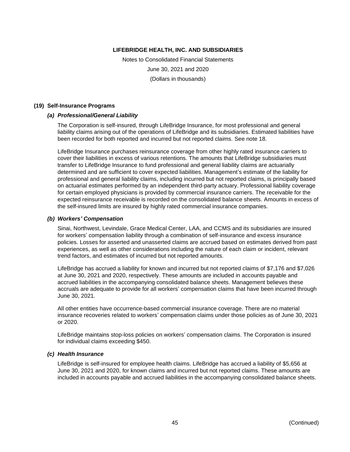Notes to Consolidated Financial Statements June 30, 2021 and 2020 (Dollars in thousands)

# **(19) Self-Insurance Programs**

### *(a) Professional/General Liability*

The Corporation is self-insured, through LifeBridge Insurance, for most professional and general liability claims arising out of the operations of LifeBridge and its subsidiaries. Estimated liabilities have been recorded for both reported and incurred but not reported claims. See note 18.

LifeBridge Insurance purchases reinsurance coverage from other highly rated insurance carriers to cover their liabilities in excess of various retentions. The amounts that LifeBridge subsidiaries must transfer to LifeBridge Insurance to fund professional and general liability claims are actuarially determined and are sufficient to cover expected liabilities. Management's estimate of the liability for professional and general liability claims, including incurred but not reported claims, is principally based on actuarial estimates performed by an independent third-party actuary. Professional liability coverage for certain employed physicians is provided by commercial insurance carriers. The receivable for the expected reinsurance receivable is recorded on the consolidated balance sheets. Amounts in excess of the self-insured limits are insured by highly rated commercial insurance companies.

### *(b) Workers' Compensation*

Sinai, Northwest, Levindale, Grace Medical Center, LAA, and CCMS and its subsidiaries are insured for workers' compensation liability through a combination of self-insurance and excess insurance policies. Losses for asserted and unasserted claims are accrued based on estimates derived from past experiences, as well as other considerations including the nature of each claim or incident, relevant trend factors, and estimates of incurred but not reported amounts.

LifeBridge has accrued a liability for known and incurred but not reported claims of \$7,176 and \$7,026 at June 30, 2021 and 2020, respectively. These amounts are included in accounts payable and accrued liabilities in the accompanying consolidated balance sheets. Management believes these accruals are adequate to provide for all workers' compensation claims that have been incurred through June 30, 2021.

All other entities have occurrence-based commercial insurance coverage. There are no material insurance recoveries related to workers' compensation claims under those policies as of June 30, 2021 or 2020.

LifeBridge maintains stop-loss policies on workers' compensation claims. The Corporation is insured for individual claims exceeding \$450.

### *(c) Health Insurance*

LifeBridge is self-insured for employee health claims. LifeBridge has accrued a liability of \$5,656 at June 30, 2021 and 2020, for known claims and incurred but not reported claims. These amounts are included in accounts payable and accrued liabilities in the accompanying consolidated balance sheets.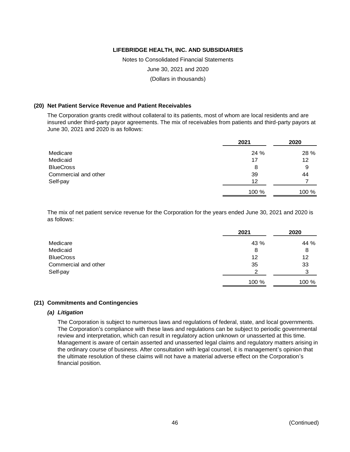Notes to Consolidated Financial Statements June 30, 2021 and 2020 (Dollars in thousands)

# **(20) Net Patient Service Revenue and Patient Receivables**

The Corporation grants credit without collateral to its patients, most of whom are local residents and are insured under third-party payor agreements. The mix of receivables from patients and third-party payors at June 30, 2021 and 2020 is as follows:

|                      | 2021  | 2020              |
|----------------------|-------|-------------------|
| Medicare             | 24 %  | 28 %              |
| Medicaid             | 17    | $12 \overline{ }$ |
| <b>BlueCross</b>     | 8     | 9                 |
| Commercial and other | 39    | 44                |
| Self-pay             | 12    |                   |
|                      | 100 % | 100 %             |

The mix of net patient service revenue for the Corporation for the years ended June 30, 2021 and 2020 is as follows:

|                      | 2021  | 2020  |
|----------------------|-------|-------|
| Medicare             | 43 %  | 44 %  |
| Medicaid             | 8     | 8     |
| <b>BlueCross</b>     | 12    | 12    |
| Commercial and other | 35    | 33    |
| Self-pay             | っ     | З     |
|                      | 100 % | 100 % |

# **(21) Commitments and Contingencies**

# *(a) Litigation*

The Corporation is subject to numerous laws and regulations of federal, state, and local governments. The Corporation's compliance with these laws and regulations can be subject to periodic governmental review and interpretation, which can result in regulatory action unknown or unasserted at this time. Management is aware of certain asserted and unasserted legal claims and regulatory matters arising in the ordinary course of business. After consultation with legal counsel, it is management's opinion that the ultimate resolution of these claims will not have a material adverse effect on the Corporation's financial position.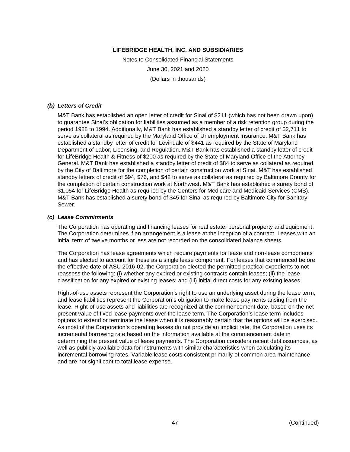Notes to Consolidated Financial Statements June 30, 2021 and 2020 (Dollars in thousands)

# *(b) Letters of Credit*

M&T Bank has established an open letter of credit for Sinai of \$211 (which has not been drawn upon) to guarantee Sinai's obligation for liabilities assumed as a member of a risk retention group during the period 1988 to 1994. Additionally, M&T Bank has established a standby letter of credit of \$2,711 to serve as collateral as required by the Maryland Office of Unemployment Insurance. M&T Bank has established a standby letter of credit for Levindale of \$441 as required by the State of Maryland Department of Labor, Licensing, and Regulation. M&T Bank has established a standby letter of credit for LifeBridge Health & Fitness of \$200 as required by the State of Maryland Office of the Attorney General. M&T Bank has established a standby letter of credit of \$84 to serve as collateral as required by the City of Baltimore for the completion of certain construction work at Sinai. M&T has established standby letters of credit of \$94, \$76, and \$42 to serve as collateral as required by Baltimore County for the completion of certain construction work at Northwest. M&T Bank has established a surety bond of \$1,054 for LifeBridge Health as required by the Centers for Medicare and Medicaid Services (CMS). M&T Bank has established a surety bond of \$45 for Sinai as required by Baltimore City for Sanitary Sewer.

# *(c) Lease Commitments*

The Corporation has operating and financing leases for real estate, personal property and equipment. The Corporation determines if an arrangement is a lease at the inception of a contract. Leases with an initial term of twelve months or less are not recorded on the consolidated balance sheets.

The Corporation has lease agreements which require payments for lease and non-lease components and has elected to account for these as a single lease component. For leases that commenced before the effective date of ASU 2016-02, the Corporation elected the permitted practical expedients to not reassess the following: (i) whether any expired or existing contracts contain leases; (ii) the lease classification for any expired or existing leases; and (iii) initial direct costs for any existing leases.

Right-of-use assets represent the Corporation's right to use an underlying asset during the lease term, and lease liabilities represent the Corporation's obligation to make lease payments arising from the lease. Right-of-use assets and liabilities are recognized at the commencement date, based on the net present value of fixed lease payments over the lease term. The Corporation's lease term includes options to extend or terminate the lease when it is reasonably certain that the options will be exercised. As most of the Corporation's operating leases do not provide an implicit rate, the Corporation uses its incremental borrowing rate based on the information available at the commencement date in determining the present value of lease payments. The Corporation considers recent debt issuances, as well as publicly available data for instruments with similar characteristics when calculating its incremental borrowing rates. Variable lease costs consistent primarily of common area maintenance and are not significant to total lease expense.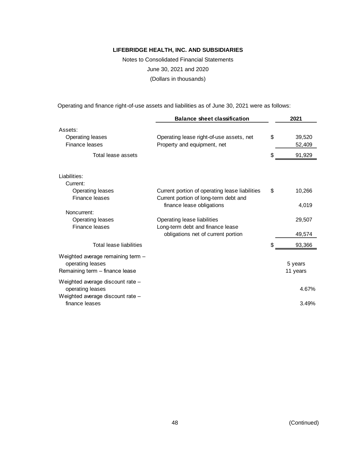Notes to Consolidated Financial Statements June 30, 2021 and 2020 (Dollars in thousands)

Operating and finance right-of-use assets and liabilities as of June 30, 2021 were as follows:

|                                                       | <b>Balance sheet classification</b>                                                     |    | 2021     |
|-------------------------------------------------------|-----------------------------------------------------------------------------------------|----|----------|
| Assets:                                               |                                                                                         |    |          |
| <b>Operating leases</b>                               | Operating lease right-of-use assets, net                                                | \$ | 39,520   |
| Finance leases                                        | Property and equipment, net                                                             |    | 52,409   |
| Total lease assets                                    |                                                                                         | \$ | 91,929   |
| Liabilities:                                          |                                                                                         |    |          |
| Current:                                              |                                                                                         | \$ |          |
| <b>Operating leases</b><br>Finance leases             | Current portion of operating lease liabilities<br>Current portion of long-term debt and |    | 10,266   |
|                                                       | finance lease obligations                                                               |    | 4,019    |
| Noncurrent:                                           |                                                                                         |    |          |
| <b>Operating leases</b>                               | Operating lease liabilities                                                             |    | 29,507   |
| Finance leases                                        | Long-term debt and finance lease                                                        |    |          |
|                                                       | obligations net of current portion                                                      |    | 49,574   |
| Total lease liabilities                               |                                                                                         | S  | 93,366   |
| Weighted average remaining term -<br>operating leases |                                                                                         |    | 5 years  |
| Remaining term - finance lease                        |                                                                                         |    | 11 years |
| Weighted average discount rate -<br>operating leases  |                                                                                         |    | 4.67%    |
| Weighted average discount rate -<br>finance leases    |                                                                                         |    | 3.49%    |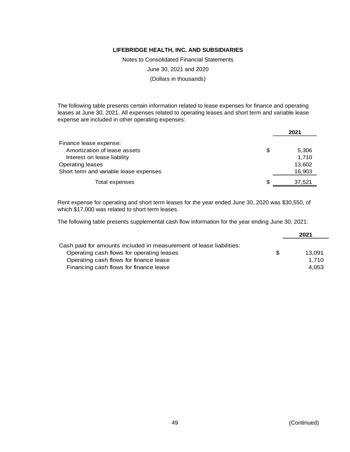Notes to Consolidated Financial Statements June 30, 2021 and 2020 (Dollars in thousands)

The following table presents certain information related to lease expenses for finance and operating leases at June 30, 2021. All expenses related to operating leases and short term and variable lease expense are included in other operating expenses:

|                                        |     | 2021   |
|----------------------------------------|-----|--------|
| Finance lease expense:                 |     |        |
| Amortization of lease assets           | \$  | 5,306  |
| Interest on lease liability            |     | 1,710  |
| Operating leases                       |     | 13,602 |
| Short term and variable lease expenses |     | 16,903 |
| Total expenses                         | \$. | 37,521 |

Rent expense for operating and short term leases for the year ended June 30, 2020 was \$30,550, of which \$17,000 was related to short term leases.

The following table presents supplemental cash flow information for the year ending June 30, 2021:

|                                                                     |     | 2021   |
|---------------------------------------------------------------------|-----|--------|
| Cash paid for amounts included in measurement of lease liabilities: |     |        |
| Operating cash flows for operating leases                           | -SS | 13.091 |
| Operating cash flows for finance lease                              |     | 1.710  |
| Financing cash flows for finance lease                              |     | 4.053  |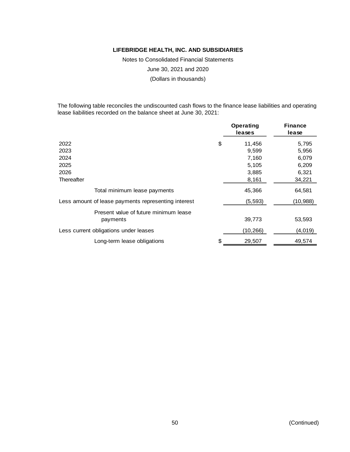Notes to Consolidated Financial Statements June 30, 2021 and 2020 (Dollars in thousands)

The following table reconciles the undiscounted cash flows to the finance lease liabilities and operating lease liabilities recorded on the balance sheet at June 30, 2021:

|                                                     | <b>Operating</b><br>leases | <b>Finance</b><br>lease |
|-----------------------------------------------------|----------------------------|-------------------------|
| 2022                                                | \$<br>11,456               | 5,795                   |
| 2023                                                | 9,599                      | 5,956                   |
| 2024                                                | 7,160                      | 6,079                   |
| 2025                                                | 5,105                      | 6,209                   |
| 2026                                                | 3,885                      | 6,321                   |
| Thereafter                                          | 8,161                      | 34,221                  |
| Total minimum lease payments                        | 45,366                     | 64,581                  |
| Less amount of lease payments representing interest | (5, 593)                   | (10, 988)               |
| Present value of future minimum lease               |                            |                         |
| payments                                            | 39,773                     | 53,593                  |
| Less current obligations under leases               | (10, 266)                  | (4,019)                 |
| Long-term lease obligations                         | \$<br>29,507               | 49,574                  |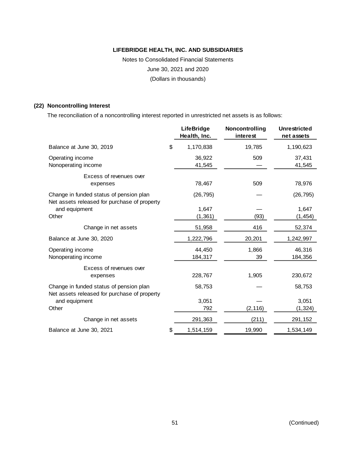Notes to Consolidated Financial Statements June 30, 2021 and 2020 (Dollars in thousands)

# **(22) Noncontrolling Interest**

The reconciliation of a noncontrolling interest reported in unrestricted net assets is as follows:

|                                                                                         | <b>LifeBridge</b><br>Health, Inc. | Noncontrolling<br>interest | <b>Unrestricted</b><br>net assets |
|-----------------------------------------------------------------------------------------|-----------------------------------|----------------------------|-----------------------------------|
| Balance at June 30, 2019                                                                | \$<br>1,170,838                   | 19,785                     | 1,190,623                         |
| Operating income<br>Nonoperating income                                                 | 36,922<br>41,545                  | 509                        | 37,431<br>41,545                  |
| Excess of revenues over<br>expenses                                                     | 78,467                            | 509                        | 78,976                            |
| Change in funded status of pension plan<br>Net assets released for purchase of property | (26, 795)                         |                            | (26, 795)                         |
| and equipment<br>Other                                                                  | 1,647<br>(1, 361)                 | (93)                       | 1,647<br>(1, 454)                 |
| Change in net assets                                                                    | 51,958                            | 416                        | 52,374                            |
| Balance at June 30, 2020                                                                | 1,222,796                         | 20,201                     | 1,242,997                         |
| Operating income<br>Nonoperating income                                                 | 44,450<br>184,317                 | 1,866<br>39                | 46,316<br>184,356                 |
| Excess of revenues over<br>expenses                                                     | 228,767                           | 1,905                      | 230,672                           |
| Change in funded status of pension plan<br>Net assets released for purchase of property | 58,753                            |                            | 58,753                            |
| and equipment<br>Other                                                                  | 3,051<br>792                      | (2, 116)                   | 3,051<br>(1, 324)                 |
| Change in net assets                                                                    | 291,363                           | (211)                      | 291,152                           |
| Balance at June 30, 2021                                                                | \$<br>1,514,159                   | 19,990                     | 1,534,149                         |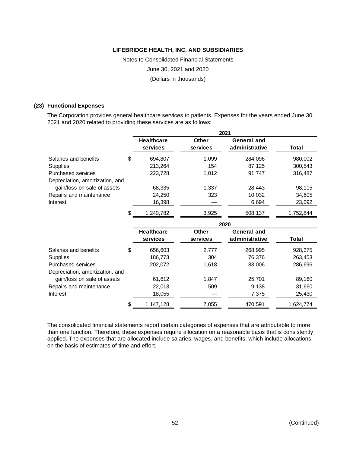Notes to Consolidated Financial Statements June 30, 2021 and 2020 (Dollars in thousands)

### **(23) Functional Expenses**

The Corporation provides general healthcare services to patients. Expenses for the years ended June 30, 2021 and 2020 related to providing these services are as follows:

|                                 |    |                               |                          | 2021                                 |              |  |  |  |  |  |
|---------------------------------|----|-------------------------------|--------------------------|--------------------------------------|--------------|--|--|--|--|--|
|                                 |    | <b>Healthcare</b><br>services | <b>Other</b><br>services | <b>General and</b><br>administrative | <b>Total</b> |  |  |  |  |  |
| Salaries and benefits           | \$ | 694,807                       | 1,099                    | 284,096                              | 980,002      |  |  |  |  |  |
| <b>Supplies</b>                 |    | 213,264                       | 154                      | 87,125                               | 300,543      |  |  |  |  |  |
| Purchased services              |    | 223,728                       | 1,012                    | 91,747                               | 316,487      |  |  |  |  |  |
| Depreciation, amortization, and |    |                               |                          |                                      |              |  |  |  |  |  |
| gain/loss on sale of assets     |    | 68,335                        | 1,337                    | 28,443                               | 98,115       |  |  |  |  |  |
| Repairs and maintenance         |    | 24,250                        | 323                      | 10,032                               | 34,605       |  |  |  |  |  |
| Interest                        |    | 16,398                        |                          | 6,694                                | 23,092       |  |  |  |  |  |
|                                 | \$ | 1,240,782                     | 3,925                    | 508,137                              | 1,752,844    |  |  |  |  |  |
|                                 |    | 2020                          |                          |                                      |              |  |  |  |  |  |
|                                 |    | <b>Healthcare</b>             | <b>Other</b>             | General and                          |              |  |  |  |  |  |
|                                 |    | services                      | services                 | administrative                       | Total        |  |  |  |  |  |
| Salaries and benefits           | \$ | 656,603                       | 2,777                    | 268,995                              | 928,375      |  |  |  |  |  |
| <b>Supplies</b>                 |    | 186,773                       | 304                      | 76,376                               | 263,453      |  |  |  |  |  |
| Purchased services              |    | 202,072                       | 1,618                    | 83,006                               | 286,696      |  |  |  |  |  |
| Depreciation, amortization, and |    |                               |                          |                                      |              |  |  |  |  |  |
| gain/loss on sale of assets     |    | 61,612                        | 1,847                    | 25,701                               | 89,160       |  |  |  |  |  |
| Repairs and maintenance         |    | 22,013                        | 509                      | 9,138                                | 31,660       |  |  |  |  |  |
| Interest                        |    | 18,055                        |                          | 7,375                                | 25,430       |  |  |  |  |  |
|                                 | \$ | 1,147,128                     | 7,055                    | 470,591                              | 1,624,774    |  |  |  |  |  |

The consolidated financial statements report certain categories of expenses that are attributable to more than one function. Therefore, these expenses require allocation on a reasonable basis that is consistently applied. The expenses that are allocated include salaries, wages, and benefits, which include allocations on the basis of estimates of time and effort.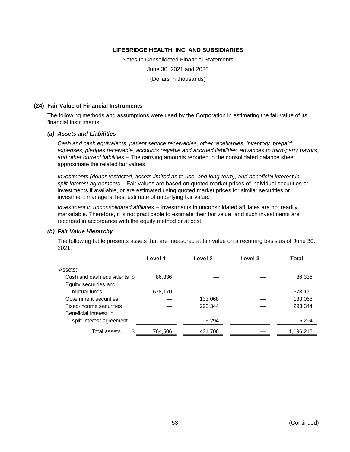Notes to Consolidated Financial Statements June 30, 2021 and 2020 (Dollars in thousands)

# **(24) Fair Value of Financial Instruments**

The following methods and assumptions were used by the Corporation in estimating the fair value of its financial instruments:

### *(a) Assets and Liabilities*

*Cash and cash equivalents, patient service receivables, other receivables, inventory, prepaid expenses, pledges receivable, accounts payable and accrued liabilities, advances to third-party payors, and other current liabilities* – The carrying amounts reported in the consolidated balance sheet approximate the related fair values.

*Investments (donor-restricted, assets limited as to use, and long-term), and beneficial interest in split-interest agreements* – Fair values are based on quoted market prices of individual securities or investments if available, or are estimated using quoted market prices for similar securities or investment managers' best estimate of underlying fair value.

*Investment in unconsolidated affiliates* – Investments in unconsolidated affiliates are not readily marketable. Therefore, it is not practicable to estimate their fair value, and such investments are recorded in accordance with the equity method or at cost.

# *(b) Fair Value Hierarchy*

The following table presents assets that are measured at fair value on a recurring basis as of June 30, 2021:

|                              | Level 1 | Level 2 | Level 3 | Total     |  |
|------------------------------|---------|---------|---------|-----------|--|
| Assets:                      |         |         |         |           |  |
| Cash and cash equivalents \$ | 86,336  |         |         | 86,336    |  |
| Equity securities and        |         |         |         |           |  |
| mutual funds                 | 678,170 |         |         | 678,170   |  |
| Government securities        |         | 133,068 |         | 133,068   |  |
| Fixed-income securities      |         | 293,344 |         | 293,344   |  |
| Beneficial interest in       |         |         |         |           |  |
| split-interest agreement     |         | 5,294   |         | 5,294     |  |
| Total assets                 | 764,506 | 431,706 |         | 1,196,212 |  |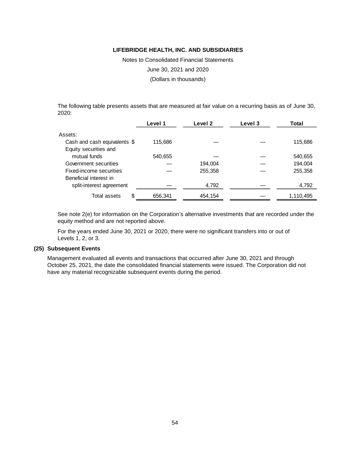Notes to Consolidated Financial Statements

June 30, 2021 and 2020

(Dollars in thousands)

The following table presents assets that are measured at fair value on a recurring basis as of June 30, 2020:

|                              | Level 1 | Level 2 | Level 3 | Total     |
|------------------------------|---------|---------|---------|-----------|
| Assets:                      |         |         |         |           |
| Cash and cash equivalents \$ | 115,686 |         |         | 115,686   |
| Equity securities and        |         |         |         |           |
| mutual funds                 | 540,655 |         |         | 540,655   |
| Government securities        |         | 194,004 |         | 194.004   |
| Fixed-income securities      |         | 255,358 |         | 255,358   |
| Beneficial interest in       |         |         |         |           |
| split-interest agreement     |         | 4,792   |         | 4,792     |
| Total assets<br>\$           | 656,341 | 454,154 |         | 1,110,495 |

See note 2(e) for information on the Corporation's alternative investments that are recorded under the equity method and are not reported above.

For the years ended June 30, 2021 or 2020, there were no significant transfers into or out of Levels 1, 2, or 3.

# **(25) Subsequent Events**

Management evaluated all events and transactions that occurred after June 30, 2021 and through October 25, 2021, the date the consolidated financial statements were issued. The Corporation did not have any material recognizable subsequent events during the period.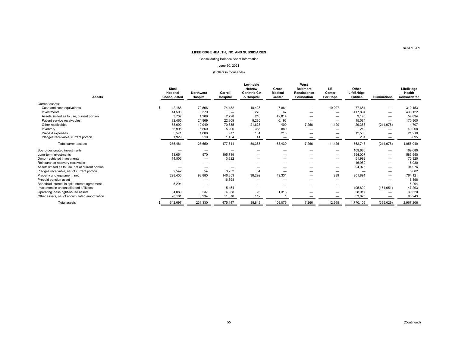Consolidating Balance Sheet Information

#### June 30, 2021

### (Dollars in thousands)

| <b>Assets</b>                                    | Sinai<br><b>Hospital</b><br>Consolidated | <b>Northwest</b><br>Hospital | Carroll<br><b>Hospital</b> | Levindale<br><b>Hebrew</b><br><b>Geriatric Ctr</b><br>& Hospital | Grace<br><b>Medical</b><br>Center | West<br><b>Baltimore</b><br>Renaissance<br><b>Foundation</b> | LB.<br>Center<br><b>For Hope</b> | Other<br>LifeBridge<br><b>Entities</b> | <b>Eliminations</b>             | LifeBridge<br>Health<br>Consolidated |
|--------------------------------------------------|------------------------------------------|------------------------------|----------------------------|------------------------------------------------------------------|-----------------------------------|--------------------------------------------------------------|----------------------------------|----------------------------------------|---------------------------------|--------------------------------------|
|                                                  |                                          |                              |                            |                                                                  |                                   |                                                              |                                  |                                        |                                 |                                      |
| Current assets:                                  |                                          |                              |                            |                                                                  |                                   |                                                              |                                  |                                        |                                 |                                      |
| Cash and cash equivalents                        | 42,188                                   | 79,566                       | 74,132                     | 18,428                                                           | 7,861                             |                                                              | 10,297                           | 77.681                                 |                                 | 310,153                              |
| Investments                                      | 14,506                                   | 3,379                        | -                          | 276                                                              | 67                                |                                                              | -                                | 417.894                                | —                               | 436,122                              |
| Assets limited as to use, current portion        | 3,737                                    | 1,209                        | 2.728                      | 216                                                              | 42.814                            |                                                              | -                                | 9.190                                  | —                               | 59,894                               |
| Patient service receivables                      | 92,465                                   | 24,969                       | 22,309                     | 9,280                                                            | 6,193                             | $\overline{\phantom{a}}$                                     | -                                | 15,584                                 | -                               | 170,800                              |
| Other receivables                                | 78,090                                   | 10,949                       | 70,835                     | 21,628                                                           | 400                               | 7,266                                                        | 1,129                            | 29,388                                 | (214, 978)                      | 4,707                                |
| Inventory                                        | 36,995                                   | 5,560                        | 5,206                      | 385                                                              | 880                               | -                                                            | -                                | 242                                    | —                               | 49,268                               |
| Prepaid expenses                                 | 5,571                                    | 1,808                        | 977                        | 131                                                              | 215                               |                                                              | -                                | 12,508                                 | -                               | 21,210                               |
| Pledges receivable, current portion              | 1,929                                    | 210                          | 1,454                      | 41                                                               | $\overline{\phantom{m}}$          |                                                              | -                                | 261                                    | -                               | 3,895                                |
| Total current assets                             | 275,481                                  | 127,650                      | 177,641                    | 50,385                                                           | 58,430                            | 7,266                                                        | 11,426                           | 562,748                                | (214, 978)                      | 1,056,049                            |
| Board-designated investments                     |                                          |                              |                            | -                                                                |                                   |                                                              | $\overline{\phantom{0}}$         | 169,680                                | $\hspace{0.1mm}-\hspace{0.1mm}$ | 169,680                              |
| Long-term investments                            | 83,654                                   | 570                          | 105,719                    | -                                                                | -                                 | —                                                            | $\overline{\phantom{0}}$         | 394,007                                | —                               | 583,950                              |
| Donor-restricted investments                     | 14,506                                   |                              | 3,822                      |                                                                  |                                   |                                                              | -                                | 51,992                                 | —                               | 70,320                               |
| Reinsurance recovery receivable                  |                                          | —                            |                            | -                                                                | $\overline{\phantom{a}}$          |                                                              | $\overline{\phantom{0}}$         | 16,980                                 | —                               | 16,980                               |
| Assets limited as to use, net of current portion |                                          |                              |                            |                                                                  |                                   |                                                              | -                                | 94,976                                 |                                 | 94,976                               |
| Pledges receivable, net of current portion       | 2,542                                    | 54                           | 3,252                      | 34                                                               |                                   | —                                                            | -                                | $\overline{\phantom{0}}$               | —                               | 5,882                                |
| Property and equipment, net                      | 228,430                                  | 98,885                       | 146,353                    | 38,292                                                           | 49,331                            |                                                              | 939                              | 201,891                                | -                               | 764,121                              |
| Prepaid pension asset                            | $\overline{\phantom{0}}$                 | $\overline{\phantom{0}}$     | 16,898                     | -                                                                | -                                 |                                                              | -                                | -                                      | —                               | 16,898                               |
| Beneficial interest in split-interest agreement  | 5,294                                    |                              |                            |                                                                  |                                   |                                                              | -                                |                                        |                                 | 5,294                                |
| Investment in unconsolidated affiliates          |                                          | $\overline{\phantom{0}}$     | 5.454                      | -                                                                | —                                 | -                                                            | $\overline{\phantom{0}}$         | 195,890                                | (154, 051)                      | 47,293                               |
| Operating lease right-of-use assets              | 4,089                                    | 237                          | 4,938                      | 26                                                               | 1,313                             |                                                              |                                  | 28,917                                 |                                 | 39,520                               |
| Other assets, net of accumulated amortization    | 28,101                                   | 3,934                        | 11,070                     | 112                                                              |                                   |                                                              | -                                | 53,025                                 | -                               | 96,243                               |
| Total assets                                     | 642,097                                  | 231,330                      | 475,147                    | 88,849                                                           | 109,075                           | 7,266                                                        | 12,365                           | 1,770,106                              | (369, 029)                      | 2,967,206                            |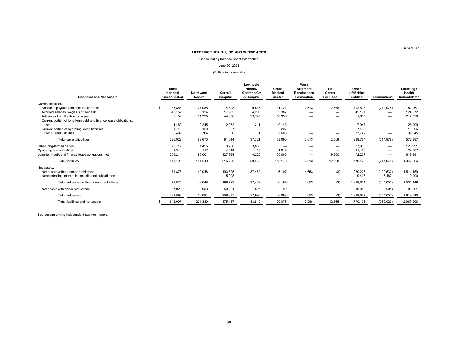Consolidating Balance Sheet Information

#### June 30, 2021

### (Dollars in thousands)

| <b>Liabilities and Net Assets</b>                                                                                                                      | Sinai<br>Hospital<br>Consolidated | <b>Northwest</b><br>Hospital | Carroll<br>Hospital        | Levindale<br>Hebrew<br>Geriatric Ctr<br>& Hospital | Grace<br><b>Medical</b><br>Center           | West<br><b>Baltimore</b><br>Renaissance<br><b>Foundation</b> | LB.<br>Center<br>For Hope                                     | Other<br>LifeBridge<br><b>Entities</b> | <b>Eliminations</b>                                                | LifeBridge<br>Health<br>Consolidated |
|--------------------------------------------------------------------------------------------------------------------------------------------------------|-----------------------------------|------------------------------|----------------------------|----------------------------------------------------|---------------------------------------------|--------------------------------------------------------------|---------------------------------------------------------------|----------------------------------------|--------------------------------------------------------------------|--------------------------------------|
| Current liabilities:                                                                                                                                   |                                   |                              |                            |                                                    |                                             |                                                              |                                                               |                                        |                                                                    |                                      |
| Accounts payable and accrued liabilities<br>Accrued salaries, wages, and benefits<br>Advances from third-party payors                                  | 85,888<br>46.157<br>85,159        | 27,085<br>8,124<br>51,395    | 14,808<br>17,905<br>44,656 | 9,546<br>4,208<br>23,747                           | 31,724<br>3,387<br>10,936                   | 2,613<br>$\overline{\phantom{0}}$<br>-                       | 2,568<br>$\overline{\phantom{0}}$<br>$\overline{\phantom{0}}$ | 192.813<br>45,191<br>1.635             | (214, 978)<br>$\overline{\phantom{0}}$<br>$\overline{\phantom{0}}$ | 152.067<br>124,972<br>217,528        |
| Current portion of long-term debt and finance lease obligations,<br>net<br>Current portion of operating lease liabilities<br>Other current liabilities | 4.480<br>1.749<br>2,489           | 2,245<br>120<br>704          | 2,982<br>657<br>6          | 211                                                | 10.143<br>297<br>2,603                      | -<br>-<br>-                                                  | $\overline{\phantom{0}}$<br>-<br>-                            | 7,948<br>7,435<br>33,742               | $\overline{\phantom{0}}$                                           | 28,009<br>10,266<br>39,545           |
| Total current liabilities                                                                                                                              | 225,922                           | 89,673                       | 81.014                     | 37,721                                             | 59,090                                      | 2,613                                                        | 2,568                                                         | 288,764                                | (214, 978)                                                         | 572,387                              |
| Other long-term liabilities<br>Operating lease liabilities<br>Long-term debt and finance lease obligations, net                                        | 29.717<br>2,346<br>255,214        | 1,455<br>117<br>90,004       | 3,268<br>4,544<br>127,934  | 3,888<br>18<br>9,226                               | $\overline{\phantom{0}}$<br>1,017<br>55,066 | -<br>$\overline{\phantom{0}}$                                | $\overline{\phantom{0}}$<br>-<br>9,800                        | 87.963<br>21,465<br>72,237             | $\overline{\phantom{0}}$<br>$\qquad \qquad$                        | 126,291<br>29,507<br>619,481         |
| <b>Total liabilities</b>                                                                                                                               | 513,199                           | 181,249                      | 216,760                    | 50,853                                             | 115,173                                     | 2,613                                                        | 12,368                                                        | 470,429                                | (214, 978)                                                         | 1,347,666                            |
| Net assets:<br>Net assets without donor restrictions<br>Noncontrolling interest in consolidated subsidiaries                                           | 71,875                            | 42,048                       | 193,625<br>5,098           | 37,469                                             | (6, 197)<br>$\overline{\phantom{0}}$        | 4,653<br>$\overline{\phantom{0}}$                            | (3)<br>$\overline{\phantom{0}}$                               | 1,280,226<br>9,405                     | (109, 537)<br>5,487                                                | 1.514.159<br>19,990                  |
| Total net assets without donor restrictions                                                                                                            | 71,875                            | 42,048                       | 198,723                    | 37,469                                             | (6, 197)                                    | 4,653                                                        | (3)                                                           | ,289,631                               | (104, 050)                                                         | 1,534,149                            |
| Net assets with donor restrictions                                                                                                                     | 57.023                            | 8,033                        | 59,664                     | 527                                                | 99                                          |                                                              | $\overline{\phantom{0}}$                                      | 10,046                                 | (50,001)                                                           | 85,391                               |
| Total net assets                                                                                                                                       | 128,898                           | 50,081                       | 258,387                    | 37,996                                             | (6,098)                                     | 4,653                                                        | (3)                                                           | ,299,677                               | (154, 051)                                                         | 1,619,540                            |
| Total liabilities and net assets                                                                                                                       | 642,097                           | 231,330                      | 475,147                    | 88,849                                             | 109,075                                     | 7,266                                                        | 12,365                                                        | 1,770,106                              | (369, 029)                                                         | 2,967,206                            |

See accompanying independent auditors' report.

**Schedule 1**